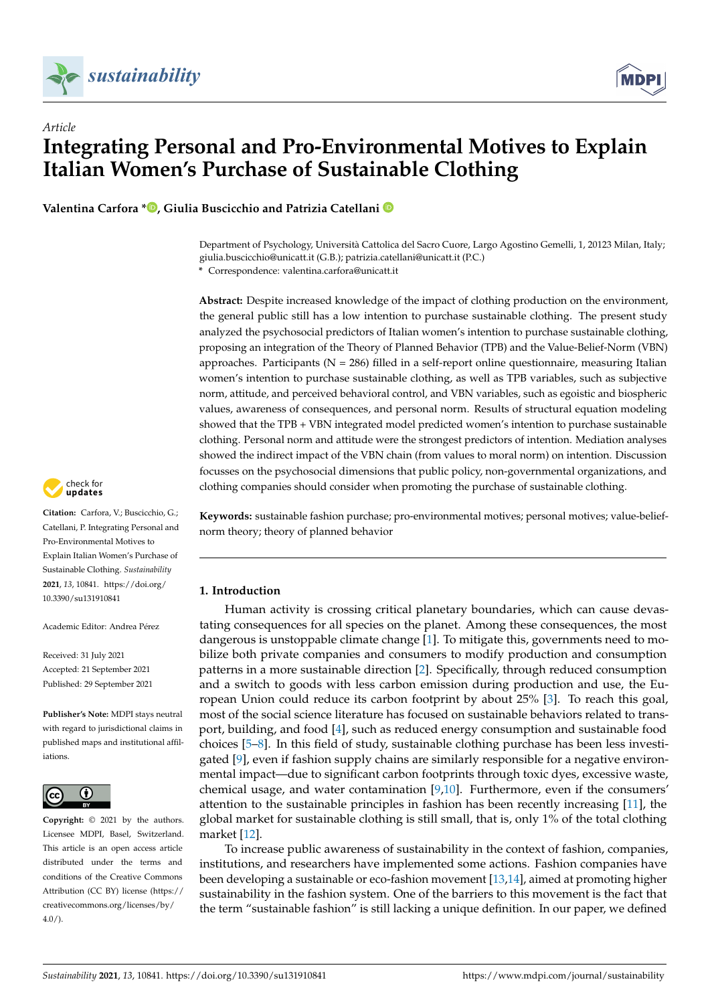

# *Article* **Integrating Personal and Pro-Environmental Motives to Explain Italian Women's Purchase of Sustainable Clothing**

**Valentina Carfora [\\*](https://orcid.org/0000-0002-4111-6443) , Giulia Buscicchio and Patrizia Catellani**

Department of Psychology, Università Cattolica del Sacro Cuore, Largo Agostino Gemelli, 1, 20123 Milan, Italy; giulia.buscicchio@unicatt.it (G.B.); patrizia.catellani@unicatt.it (P.C.) **\*** Correspondence: valentina.carfora@unicatt.it

**Abstract:** Despite increased knowledge of the impact of clothing production on the environment, the general public still has a low intention to purchase sustainable clothing. The present study analyzed the psychosocial predictors of Italian women's intention to purchase sustainable clothing, proposing an integration of the Theory of Planned Behavior (TPB) and the Value-Belief-Norm (VBN) approaches. Participants ( $N = 286$ ) filled in a self-report online questionnaire, measuring Italian women's intention to purchase sustainable clothing, as well as TPB variables, such as subjective norm, attitude, and perceived behavioral control, and VBN variables, such as egoistic and biospheric values, awareness of consequences, and personal norm. Results of structural equation modeling showed that the TPB + VBN integrated model predicted women's intention to purchase sustainable clothing. Personal norm and attitude were the strongest predictors of intention. Mediation analyses showed the indirect impact of the VBN chain (from values to moral norm) on intention. Discussion focusses on the psychosocial dimensions that public policy, non-governmental organizations, and clothing companies should consider when promoting the purchase of sustainable clothing.

**Keywords:** sustainable fashion purchase; pro-environmental motives; personal motives; value-beliefnorm theory; theory of planned behavior

## **1. Introduction**

Human activity is crossing critical planetary boundaries, which can cause devastating consequences for all species on the planet. Among these consequences, the most dangerous is unstoppable climate change [\[1\]](#page-17-0). To mitigate this, governments need to mobilize both private companies and consumers to modify production and consumption patterns in a more sustainable direction [\[2\]](#page-17-1). Specifically, through reduced consumption and a switch to goods with less carbon emission during production and use, the European Union could reduce its carbon footprint by about 25% [\[3\]](#page-17-2). To reach this goal, most of the social science literature has focused on sustainable behaviors related to transport, building, and food [\[4\]](#page-18-0), such as reduced energy consumption and sustainable food choices [\[5](#page-18-1)[–8\]](#page-18-2). In this field of study, sustainable clothing purchase has been less investigated [\[9\]](#page-18-3), even if fashion supply chains are similarly responsible for a negative environmental impact—due to significant carbon footprints through toxic dyes, excessive waste, chemical usage, and water contamination [\[9,](#page-18-3)[10\]](#page-18-4). Furthermore, even if the consumers' attention to the sustainable principles in fashion has been recently increasing [\[11\]](#page-18-5), the global market for sustainable clothing is still small, that is, only 1% of the total clothing market [\[12\]](#page-18-6).

To increase public awareness of sustainability in the context of fashion, companies, institutions, and researchers have implemented some actions. Fashion companies have been developing a sustainable or eco-fashion movement [\[13](#page-18-7)[,14\]](#page-18-8), aimed at promoting higher sustainability in the fashion system. One of the barriers to this movement is the fact that the term "sustainable fashion" is still lacking a unique definition. In our paper, we defined



**Citation:** Carfora, V.; Buscicchio, G.; Catellani, P. Integrating Personal and Pro-Environmental Motives to Explain Italian Women's Purchase of Sustainable Clothing. *Sustainability* **2021**, *13*, 10841. [https://doi.org/](https://doi.org/10.3390/su131910841) [10.3390/su131910841](https://doi.org/10.3390/su131910841)

Academic Editor: Andrea Pérez

Received: 31 July 2021 Accepted: 21 September 2021 Published: 29 September 2021

**Publisher's Note:** MDPI stays neutral with regard to jurisdictional claims in published maps and institutional affiliations.



**Copyright:** © 2021 by the authors. Licensee MDPI, Basel, Switzerland. This article is an open access article distributed under the terms and conditions of the Creative Commons Attribution (CC BY) license (https:/[/](https://creativecommons.org/licenses/by/4.0/) [creativecommons.org/licenses/by/](https://creativecommons.org/licenses/by/4.0/)  $4.0/$ ).

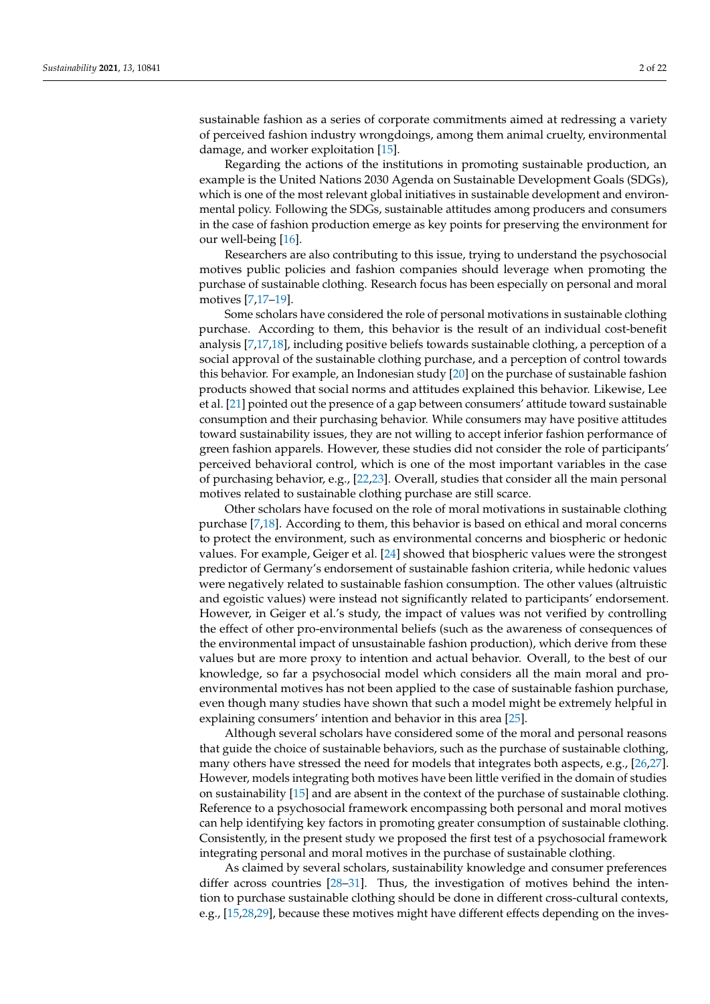sustainable fashion as a series of corporate commitments aimed at redressing a variety of perceived fashion industry wrongdoings, among them animal cruelty, environmental damage, and worker exploitation [\[15\]](#page-18-9).

Regarding the actions of the institutions in promoting sustainable production, an example is the United Nations 2030 Agenda on Sustainable Development Goals (SDGs), which is one of the most relevant global initiatives in sustainable development and environmental policy. Following the SDGs, sustainable attitudes among producers and consumers in the case of fashion production emerge as key points for preserving the environment for our well-being [\[16\]](#page-18-10).

Researchers are also contributing to this issue, trying to understand the psychosocial motives public policies and fashion companies should leverage when promoting the purchase of sustainable clothing. Research focus has been especially on personal and moral motives [\[7,](#page-18-11)[17–](#page-18-12)[19\]](#page-18-13).

Some scholars have considered the role of personal motivations in sustainable clothing purchase. According to them, this behavior is the result of an individual cost-benefit analysis [\[7](#page-18-11)[,17](#page-18-12)[,18\]](#page-18-14), including positive beliefs towards sustainable clothing, a perception of a social approval of the sustainable clothing purchase, and a perception of control towards this behavior. For example, an Indonesian study [\[20\]](#page-18-15) on the purchase of sustainable fashion products showed that social norms and attitudes explained this behavior. Likewise, Lee et al. [\[21\]](#page-18-16) pointed out the presence of a gap between consumers' attitude toward sustainable consumption and their purchasing behavior. While consumers may have positive attitudes toward sustainability issues, they are not willing to accept inferior fashion performance of green fashion apparels. However, these studies did not consider the role of participants' perceived behavioral control, which is one of the most important variables in the case of purchasing behavior, e.g., [\[22](#page-18-17)[,23\]](#page-18-18). Overall, studies that consider all the main personal motives related to sustainable clothing purchase are still scarce.

Other scholars have focused on the role of moral motivations in sustainable clothing purchase [\[7,](#page-18-11)[18\]](#page-18-14). According to them, this behavior is based on ethical and moral concerns to protect the environment, such as environmental concerns and biospheric or hedonic values. For example, Geiger et al. [\[24\]](#page-18-19) showed that biospheric values were the strongest predictor of Germany's endorsement of sustainable fashion criteria, while hedonic values were negatively related to sustainable fashion consumption. The other values (altruistic and egoistic values) were instead not significantly related to participants' endorsement. However, in Geiger et al.'s study, the impact of values was not verified by controlling the effect of other pro-environmental beliefs (such as the awareness of consequences of the environmental impact of unsustainable fashion production), which derive from these values but are more proxy to intention and actual behavior. Overall, to the best of our knowledge, so far a psychosocial model which considers all the main moral and proenvironmental motives has not been applied to the case of sustainable fashion purchase, even though many studies have shown that such a model might be extremely helpful in explaining consumers' intention and behavior in this area [\[25\]](#page-18-20).

Although several scholars have considered some of the moral and personal reasons that guide the choice of sustainable behaviors, such as the purchase of sustainable clothing, many others have stressed the need for models that integrates both aspects, e.g., [\[26,](#page-18-21)[27\]](#page-18-22). However, models integrating both motives have been little verified in the domain of studies on sustainability [\[15\]](#page-18-9) and are absent in the context of the purchase of sustainable clothing. Reference to a psychosocial framework encompassing both personal and moral motives can help identifying key factors in promoting greater consumption of sustainable clothing. Consistently, in the present study we proposed the first test of a psychosocial framework integrating personal and moral motives in the purchase of sustainable clothing.

As claimed by several scholars, sustainability knowledge and consumer preferences differ across countries [\[28](#page-18-23)[–31\]](#page-18-24). Thus, the investigation of motives behind the intention to purchase sustainable clothing should be done in different cross-cultural contexts, e.g., [\[15,](#page-18-9)[28,](#page-18-23)[29\]](#page-18-25), because these motives might have different effects depending on the inves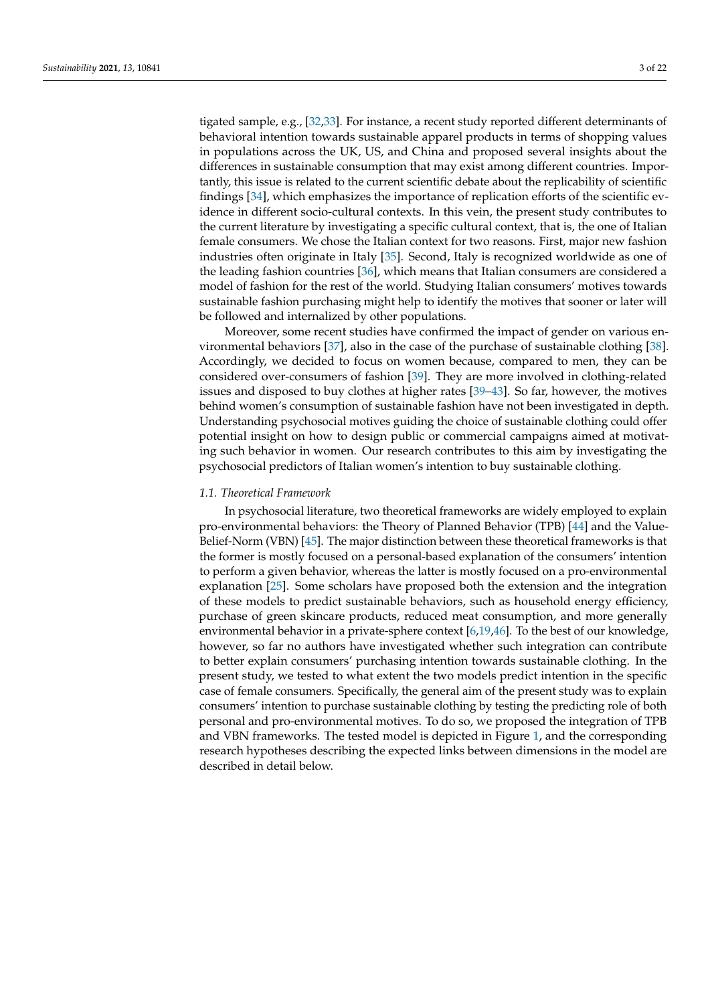tigated sample, e.g., [\[32,](#page-18-26)[33\]](#page-18-27). For instance, a recent study reported different determinants of behavioral intention towards sustainable apparel products in terms of shopping values in populations across the UK, US, and China and proposed several insights about the differences in sustainable consumption that may exist among different countries. Importantly, this issue is related to the current scientific debate about the replicability of scientific findings [\[34\]](#page-19-0), which emphasizes the importance of replication efforts of the scientific evidence in different socio-cultural contexts. In this vein, the present study contributes to the current literature by investigating a specific cultural context, that is, the one of Italian female consumers. We chose the Italian context for two reasons. First, major new fashion industries often originate in Italy [\[35\]](#page-19-1). Second, Italy is recognized worldwide as one of the leading fashion countries [\[36\]](#page-19-2), which means that Italian consumers are considered a model of fashion for the rest of the world. Studying Italian consumers' motives towards sustainable fashion purchasing might help to identify the motives that sooner or later will be followed and internalized by other populations.

Moreover, some recent studies have confirmed the impact of gender on various environmental behaviors [\[37\]](#page-19-3), also in the case of the purchase of sustainable clothing [\[38\]](#page-19-4). Accordingly, we decided to focus on women because, compared to men, they can be considered over-consumers of fashion [\[39\]](#page-19-5). They are more involved in clothing-related issues and disposed to buy clothes at higher rates [\[39](#page-19-5)[–43\]](#page-19-6). So far, however, the motives behind women's consumption of sustainable fashion have not been investigated in depth. Understanding psychosocial motives guiding the choice of sustainable clothing could offer potential insight on how to design public or commercial campaigns aimed at motivating such behavior in women. Our research contributes to this aim by investigating the psychosocial predictors of Italian women's intention to buy sustainable clothing.

#### *1.1. Theoretical Framework*

In psychosocial literature, two theoretical frameworks are widely employed to explain pro-environmental behaviors: the Theory of Planned Behavior (TPB) [\[44\]](#page-19-7) and the Value-Belief-Norm (VBN) [\[45\]](#page-19-8). The major distinction between these theoretical frameworks is that the former is mostly focused on a personal-based explanation of the consumers' intention to perform a given behavior, whereas the latter is mostly focused on a pro-environmental explanation [\[25\]](#page-18-20). Some scholars have proposed both the extension and the integration of these models to predict sustainable behaviors, such as household energy efficiency, purchase of green skincare products, reduced meat consumption, and more generally environmental behavior in a private-sphere context [\[6,](#page-18-28)[19,](#page-18-13)[46\]](#page-19-9). To the best of our knowledge, however, so far no authors have investigated whether such integration can contribute to better explain consumers' purchasing intention towards sustainable clothing. In the present study, we tested to what extent the two models predict intention in the specific case of female consumers. Specifically, the general aim of the present study was to explain consumers' intention to purchase sustainable clothing by testing the predicting role of both personal and pro-environmental motives. To do so, we proposed the integration of TPB and VBN frameworks. The tested model is depicted in Figure [1,](#page-3-0) and the corresponding research hypotheses describing the expected links between dimensions in the model are described in detail below.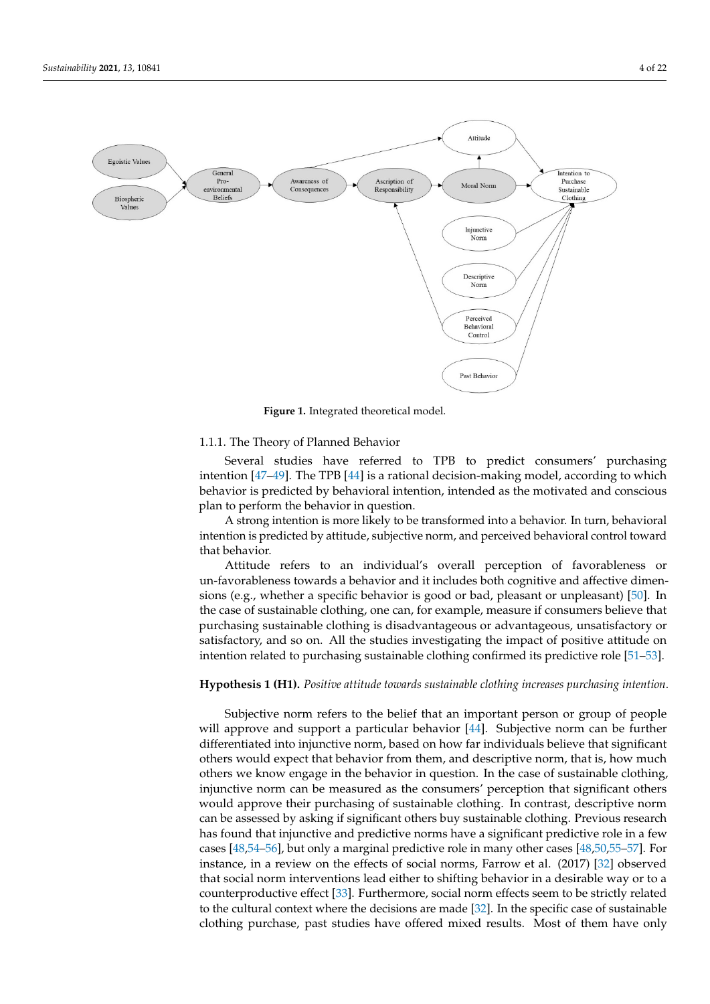<span id="page-3-0"></span>

**Figure 1.** Integrated theoretical model. **Figure 1.** Integrated theoretical model.

## 1.1.1. The Theory of Planned Behavior 1.1.1. The Theory of Planned Behavior

Several studies have referred to TFB to predict consumers' purchasing intention [\[47–](#page-19-10)[49\]](#page-19-11). The TPB [\[44\]](#page-19-7) is a rational decision-making model, according to which  $\frac{1}{4}$  is  $\frac{1}{4}$ . The TPB  $\frac{1}{4}$  is a rational decision-making model, according to which behavior is predicted by behavioral intention, intended as the motivated and conscious plan to perform the behavior in question. Several studies have referred to TPB to predict consumers' purchasing

A strong intention is more likely to be transformed into a behavior. In turn, behavioral intention is predicted by attitude, subjective norm, and perceived behavioral control toward intertion is predicted by attitude, subjective norm, and perceived behavior.

Attitude refers to an individual's overall perception of favorableness or un-favorableness towards a behavior and it includes both cognitive and affective dimen-sions (e.g., whether a specific behavior is good or bad, pleasant or unpleasant) [\[50\]](#page-19-12). In<br>the ages of sustainable alathing and are for awarmly magazine if agraymays halises that me case or sustainable clothing, one can, for example, measure it estimates seneve that purchasing sustainable clothing is disadvantageous or advantageous, unsatisfactory or sustainable consumers below can be consumed. The studies investigating the impact of positive attitude on intention related to purchasing sustainable clothing confirmed its predictive role [51-53]. the case of sustainable clothing, one can, for example, measure if consumers believe that

## **Hypothesis 1 (H1).** *Positive attitude towards sustainable clothing increases purchasing intention*.

Subjective norm refers to the belief that an important person or group of people *tion.* Will approve and support a particular behavior [\[44\]](#page-19-7). Subjective norm can be further others we know engage in the behavior in question. In the case of sustainable clothing, injunctive norm can be measured as the consumers' perception that significant others would approve their purchasing of sustainable clothing. In contrast, descriptive norm can be assessed by asking if significant others buy sustainable clothing. Previous research has found that injunctive and predictive norms have a significant predictive role in a few cases [\[48](#page-19-15)[,54–](#page-19-16)[56\]](#page-19-17), but only a marginal predictive role in many other cases [\[48,](#page-19-15)[50,](#page-19-12)[55](#page-19-18)[–57\]](#page-19-19). For instance, in a review on the effects of social norms, Farrow et al. (2017) [\[32\]](#page-18-26) observed that social norm interventions lead either to shifting behavior in a desirable way or to a<br>counterware destine offset [22]. For thermore, as rightness offsets soon to be strictly related to the cultural context where the decisions are made  $[32]$ . In the specific case of sustainable to the cultural context where the decisions are made  $[32]$ . clothing purchase, past studies have offered mixed results. Most of them have only differentiated into injunctive norm, based on how far individuals believe that significant others would expect that behavior from them, and descriptive norm, that is, how much counterproductive effect [\[33\]](#page-18-27). Furthermore, social norm effects seem to be strictly related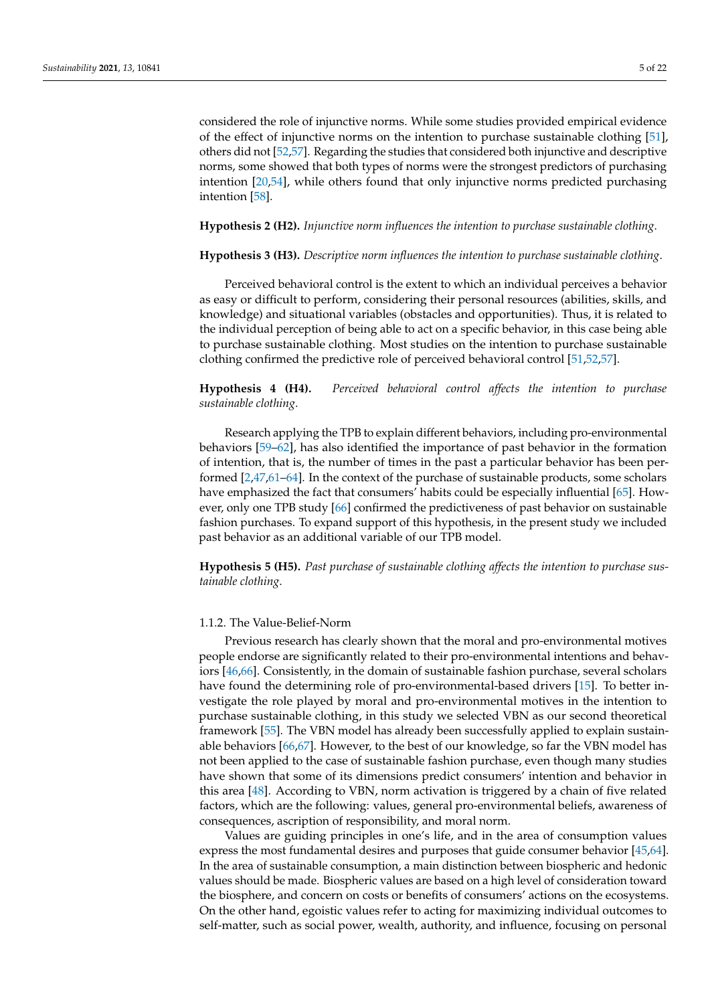considered the role of injunctive norms. While some studies provided empirical evidence of the effect of injunctive norms on the intention to purchase sustainable clothing [\[51\]](#page-19-13), others did not [\[52,](#page-19-20)[57\]](#page-19-19). Regarding the studies that considered both injunctive and descriptive norms, some showed that both types of norms were the strongest predictors of purchasing intention [\[20](#page-18-15)[,54\]](#page-19-16), while others found that only injunctive norms predicted purchasing intention [\[58\]](#page-19-21).

#### **Hypothesis 2 (H2).** *Injunctive norm influences the intention to purchase sustainable clothing*.

#### **Hypothesis 3 (H3).** *Descriptive norm influences the intention to purchase sustainable clothing*.

Perceived behavioral control is the extent to which an individual perceives a behavior as easy or difficult to perform, considering their personal resources (abilities, skills, and knowledge) and situational variables (obstacles and opportunities). Thus, it is related to the individual perception of being able to act on a specific behavior, in this case being able to purchase sustainable clothing. Most studies on the intention to purchase sustainable clothing confirmed the predictive role of perceived behavioral control [\[51,](#page-19-13)[52,](#page-19-20)[57\]](#page-19-19).

## **Hypothesis 4 (H4).** *Perceived behavioral control affects the intention to purchase sustainable clothing*.

Research applying the TPB to explain different behaviors, including pro-environmental behaviors [\[59–](#page-19-22)[62\]](#page-19-23), has also identified the importance of past behavior in the formation of intention, that is, the number of times in the past a particular behavior has been performed [\[2,](#page-17-1)[47,](#page-19-10)[61](#page-19-24)[–64\]](#page-20-0). In the context of the purchase of sustainable products, some scholars have emphasized the fact that consumers' habits could be especially influential [\[65\]](#page-20-1). However, only one TPB study [\[66\]](#page-20-2) confirmed the predictiveness of past behavior on sustainable fashion purchases. To expand support of this hypothesis, in the present study we included past behavior as an additional variable of our TPB model.

**Hypothesis 5 (H5).** *Past purchase of sustainable clothing affects the intention to purchase sustainable clothing*.

#### 1.1.2. The Value-Belief-Norm

Previous research has clearly shown that the moral and pro-environmental motives people endorse are significantly related to their pro-environmental intentions and behaviors [\[46,](#page-19-9)[66\]](#page-20-2). Consistently, in the domain of sustainable fashion purchase, several scholars have found the determining role of pro-environmental-based drivers [\[15\]](#page-18-9). To better investigate the role played by moral and pro-environmental motives in the intention to purchase sustainable clothing, in this study we selected VBN as our second theoretical framework [\[55\]](#page-19-18). The VBN model has already been successfully applied to explain sustainable behaviors [\[66](#page-20-2)[,67\]](#page-20-3). However, to the best of our knowledge, so far the VBN model has not been applied to the case of sustainable fashion purchase, even though many studies have shown that some of its dimensions predict consumers' intention and behavior in this area [\[48\]](#page-19-15). According to VBN, norm activation is triggered by a chain of five related factors, which are the following: values, general pro-environmental beliefs, awareness of consequences, ascription of responsibility, and moral norm.

Values are guiding principles in one's life, and in the area of consumption values express the most fundamental desires and purposes that guide consumer behavior [\[45](#page-19-8)[,64\]](#page-20-0). In the area of sustainable consumption, a main distinction between biospheric and hedonic values should be made. Biospheric values are based on a high level of consideration toward the biosphere, and concern on costs or benefits of consumers' actions on the ecosystems. On the other hand, egoistic values refer to acting for maximizing individual outcomes to self-matter, such as social power, wealth, authority, and influence, focusing on personal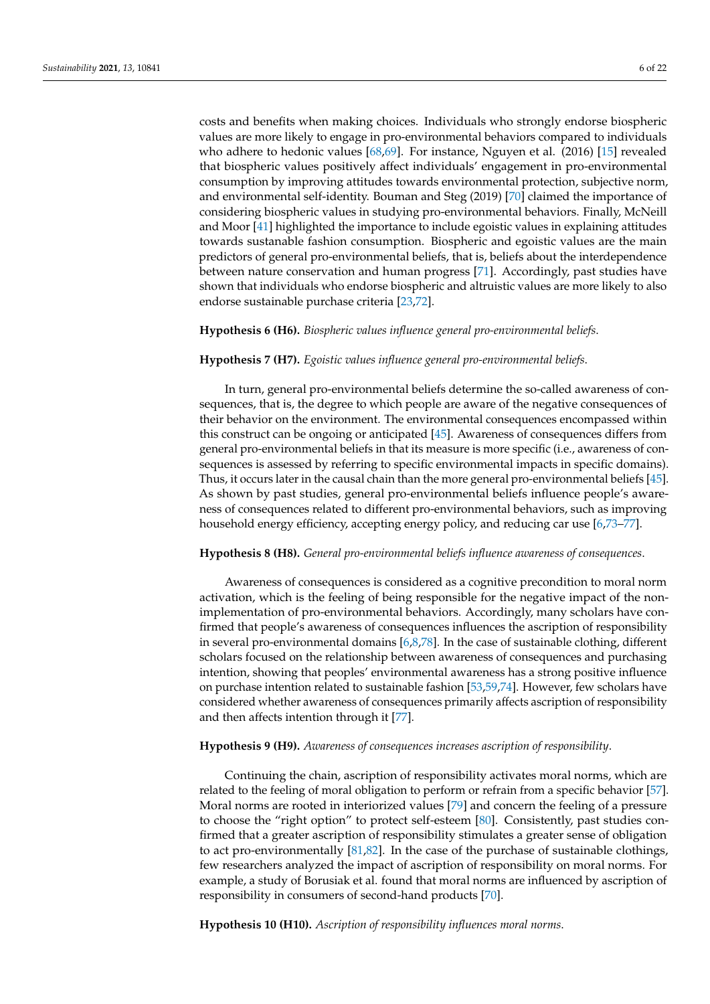costs and benefits when making choices. Individuals who strongly endorse biospheric values are more likely to engage in pro-environmental behaviors compared to individuals who adhere to hedonic values [\[68,](#page-20-4)[69\]](#page-20-5). For instance, Nguyen et al. (2016) [\[15\]](#page-18-9) revealed that biospheric values positively affect individuals' engagement in pro-environmental consumption by improving attitudes towards environmental protection, subjective norm, and environmental self-identity. Bouman and Steg (2019) [\[70\]](#page-20-6) claimed the importance of considering biospheric values in studying pro-environmental behaviors. Finally, McNeill and Moor [\[41\]](#page-19-25) highlighted the importance to include egoistic values in explaining attitudes towards sustanable fashion consumption. Biospheric and egoistic values are the main predictors of general pro-environmental beliefs, that is, beliefs about the interdependence between nature conservation and human progress [\[71\]](#page-20-7). Accordingly, past studies have shown that individuals who endorse biospheric and altruistic values are more likely to also endorse sustainable purchase criteria [\[23,](#page-18-18)[72\]](#page-20-8).

#### **Hypothesis 6 (H6).** *Biospheric values influence general pro-environmental beliefs*.

#### **Hypothesis 7 (H7).** *Egoistic values influence general pro-environmental beliefs*.

In turn, general pro-environmental beliefs determine the so-called awareness of consequences, that is, the degree to which people are aware of the negative consequences of their behavior on the environment. The environmental consequences encompassed within this construct can be ongoing or anticipated [\[45\]](#page-19-8). Awareness of consequences differs from general pro-environmental beliefs in that its measure is more specific (i.e., awareness of consequences is assessed by referring to specific environmental impacts in specific domains). Thus, it occurs later in the causal chain than the more general pro-environmental beliefs [\[45\]](#page-19-8). As shown by past studies, general pro-environmental beliefs influence people's awareness of consequences related to different pro-environmental behaviors, such as improving household energy efficiency, accepting energy policy, and reducing car use [\[6,](#page-18-28)[73](#page-20-9)[–77\]](#page-20-10).

#### **Hypothesis 8 (H8).** *General pro-environmental beliefs influence awareness of consequences*.

Awareness of consequences is considered as a cognitive precondition to moral norm activation, which is the feeling of being responsible for the negative impact of the nonimplementation of pro-environmental behaviors. Accordingly, many scholars have confirmed that people's awareness of consequences influences the ascription of responsibility in several pro-environmental domains [\[6](#page-18-28)[,8](#page-18-2)[,78\]](#page-20-11). In the case of sustainable clothing, different scholars focused on the relationship between awareness of consequences and purchasing intention, showing that peoples' environmental awareness has a strong positive influence on purchase intention related to sustainable fashion [\[53,](#page-19-14)[59,](#page-19-22)[74\]](#page-20-12). However, few scholars have considered whether awareness of consequences primarily affects ascription of responsibility and then affects intention through it [\[77\]](#page-20-10).

#### **Hypothesis 9 (H9).** *Awareness of consequences increases ascription of responsibility*.

Continuing the chain, ascription of responsibility activates moral norms, which are related to the feeling of moral obligation to perform or refrain from a specific behavior [\[57\]](#page-19-19). Moral norms are rooted in interiorized values [\[79\]](#page-20-13) and concern the feeling of a pressure to choose the "right option" to protect self-esteem [\[80\]](#page-20-14). Consistently, past studies confirmed that a greater ascription of responsibility stimulates a greater sense of obligation to act pro-environmentally [\[81,](#page-20-15)[82\]](#page-20-16). In the case of the purchase of sustainable clothings, few researchers analyzed the impact of ascription of responsibility on moral norms. For example, a study of Borusiak et al. found that moral norms are influenced by ascription of responsibility in consumers of second-hand products [\[70\]](#page-20-6).

**Hypothesis 10 (H10).** *Ascription of responsibility influences moral norms*.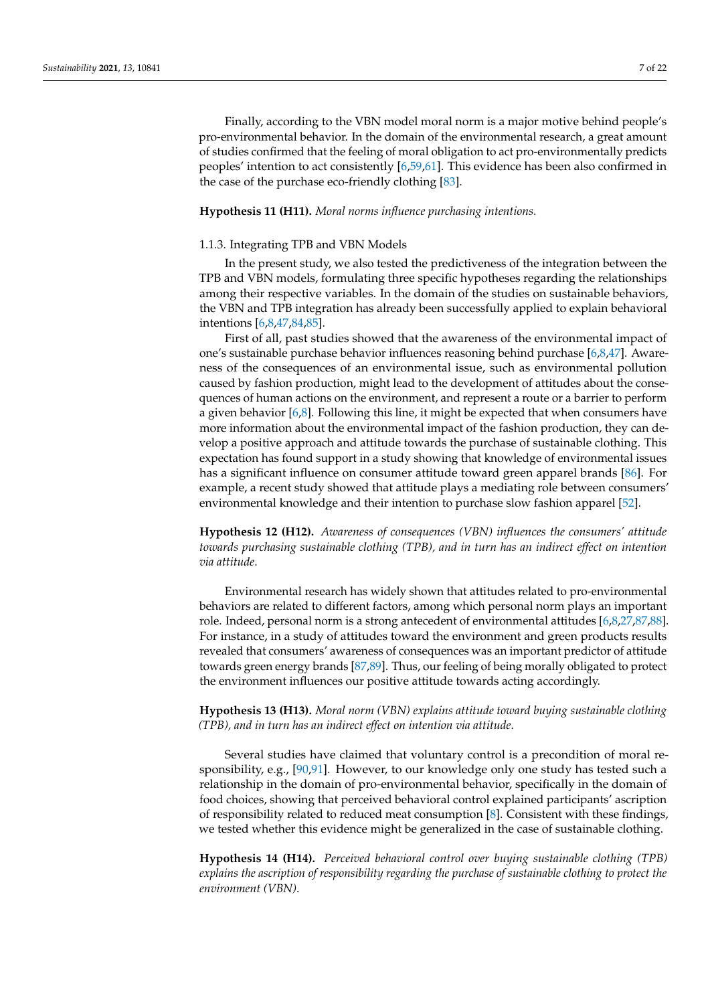#### **Hypothesis 11 (H11).** *Moral norms influence purchasing intentions*.

#### 1.1.3. Integrating TPB and VBN Models

In the present study, we also tested the predictiveness of the integration between the TPB and VBN models, formulating three specific hypotheses regarding the relationships among their respective variables. In the domain of the studies on sustainable behaviors, the VBN and TPB integration has already been successfully applied to explain behavioral intentions [\[6,](#page-18-28)[8,](#page-18-2)[47,](#page-19-10)[84,](#page-20-18)[85\]](#page-20-19).

First of all, past studies showed that the awareness of the environmental impact of one's sustainable purchase behavior influences reasoning behind purchase [\[6,](#page-18-28)[8,](#page-18-2)[47\]](#page-19-10). Awareness of the consequences of an environmental issue, such as environmental pollution caused by fashion production, might lead to the development of attitudes about the consequences of human actions on the environment, and represent a route or a barrier to perform a given behavior  $[6,8]$  $[6,8]$ . Following this line, it might be expected that when consumers have more information about the environmental impact of the fashion production, they can develop a positive approach and attitude towards the purchase of sustainable clothing. This expectation has found support in a study showing that knowledge of environmental issues has a significant influence on consumer attitude toward green apparel brands [\[86\]](#page-20-20). For example, a recent study showed that attitude plays a mediating role between consumers' environmental knowledge and their intention to purchase slow fashion apparel [\[52\]](#page-19-20).

**Hypothesis 12 (H12).** *Awareness of consequences (VBN) influences the consumers' attitude towards purchasing sustainable clothing (TPB), and in turn has an indirect effect on intention via attitude*.

Environmental research has widely shown that attitudes related to pro-environmental behaviors are related to different factors, among which personal norm plays an important role. Indeed, personal norm is a strong antecedent of environmental attitudes [\[6,](#page-18-28)[8,](#page-18-2)[27,](#page-18-22)[87](#page-20-21)[,88\]](#page-20-22). For instance, in a study of attitudes toward the environment and green products results revealed that consumers' awareness of consequences was an important predictor of attitude towards green energy brands [\[87,](#page-20-21)[89\]](#page-20-23). Thus, our feeling of being morally obligated to protect the environment influences our positive attitude towards acting accordingly.

**Hypothesis 13 (H13).** *Moral norm (VBN) explains attitude toward buying sustainable clothing (TPB), and in turn has an indirect effect on intention via attitude*.

Several studies have claimed that voluntary control is a precondition of moral responsibility, e.g., [\[90,](#page-20-24)[91\]](#page-20-25). However, to our knowledge only one study has tested such a relationship in the domain of pro-environmental behavior, specifically in the domain of food choices, showing that perceived behavioral control explained participants' ascription of responsibility related to reduced meat consumption [\[8\]](#page-18-2). Consistent with these findings, we tested whether this evidence might be generalized in the case of sustainable clothing.

**Hypothesis 14 (H14).** *Perceived behavioral control over buying sustainable clothing (TPB) explains the ascription of responsibility regarding the purchase of sustainable clothing to protect the environment (VBN)*.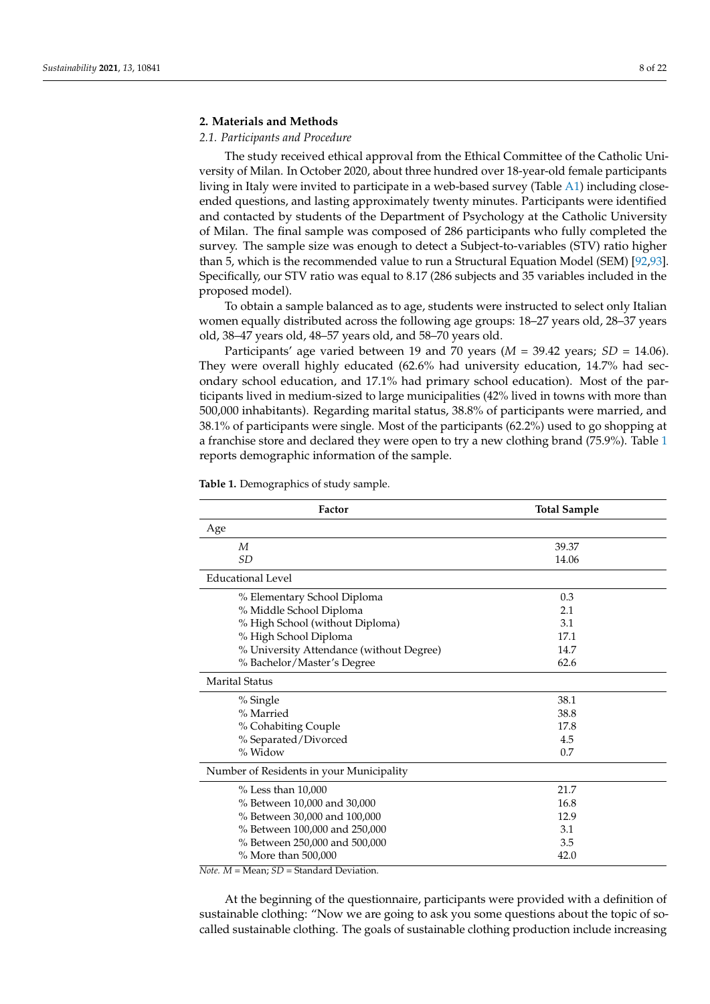#### **2. Materials and Methods**

#### *2.1. Participants and Procedure*

The study received ethical approval from the Ethical Committee of the Catholic University of Milan. In October 2020, about three hundred over 18-year-old female participants living in Italy were invited to participate in a web-based survey (Table [A1\)](#page-17-3) including closeended questions, and lasting approximately twenty minutes. Participants were identified and contacted by students of the Department of Psychology at the Catholic University of Milan. The final sample was composed of 286 participants who fully completed the survey. The sample size was enough to detect a Subject-to-variables (STV) ratio higher than 5, which is the recommended value to run a Structural Equation Model (SEM) [\[92](#page-20-26)[,93\]](#page-20-27). Specifically, our STV ratio was equal to 8.17 (286 subjects and 35 variables included in the proposed model).

To obtain a sample balanced as to age, students were instructed to select only Italian women equally distributed across the following age groups: 18–27 years old, 28–37 years old, 38–47 years old, 48–57 years old, and 58–70 years old.

Participants' age varied between 19 and 70 years  $(M = 39.42 \text{ years}; SD = 14.06)$ . They were overall highly educated (62.6% had university education, 14.7% had secondary school education, and 17.1% had primary school education). Most of the participants lived in medium-sized to large municipalities (42% lived in towns with more than 500,000 inhabitants). Regarding marital status, 38.8% of participants were married, and 38.1% of participants were single. Most of the participants (62.2%) used to go shopping at a franchise store and declared they were open to try a new clothing brand (75.9%). Table [1](#page-7-0) reports demographic information of the sample.

| Factor                                   | <b>Total Sample</b> |  |  |
|------------------------------------------|---------------------|--|--|
| Age                                      |                     |  |  |
| M                                        | 39.37               |  |  |
| SD                                       | 14.06               |  |  |
| <b>Educational Level</b>                 |                     |  |  |
| % Elementary School Diploma              | 0.3                 |  |  |
| % Middle School Diploma                  | 2.1                 |  |  |
| % High School (without Diploma)          | 3.1                 |  |  |
| % High School Diploma                    | 17.1                |  |  |
| % University Attendance (without Degree) | 14.7                |  |  |
| % Bachelor/Master's Degree               | 62.6                |  |  |
| <b>Marital Status</b>                    |                     |  |  |
| % Single                                 | 38.1                |  |  |
| % Married                                | 38.8                |  |  |
| % Cohabiting Couple                      | 17.8                |  |  |
| % Separated/Divorced                     | 4.5                 |  |  |
| $%$ Widow                                | 0.7                 |  |  |
| Number of Residents in your Municipality |                     |  |  |
| $%$ Less than $10,000$                   | 21.7                |  |  |
| % Between 10,000 and 30,000              | 16.8                |  |  |
| % Between 30,000 and 100,000             | 12.9                |  |  |
| % Between 100,000 and 250,000            | 3.1                 |  |  |
| % Between 250,000 and 500,000            | 3.5                 |  |  |
| % More than 500,000                      | 42.0                |  |  |

<span id="page-7-0"></span>**Table 1.** Demographics of study sample.

*Note. M* = Mean; *SD* = Standard Deviation.

At the beginning of the questionnaire, participants were provided with a definition of sustainable clothing: "Now we are going to ask you some questions about the topic of socalled sustainable clothing. The goals of sustainable clothing production include increasing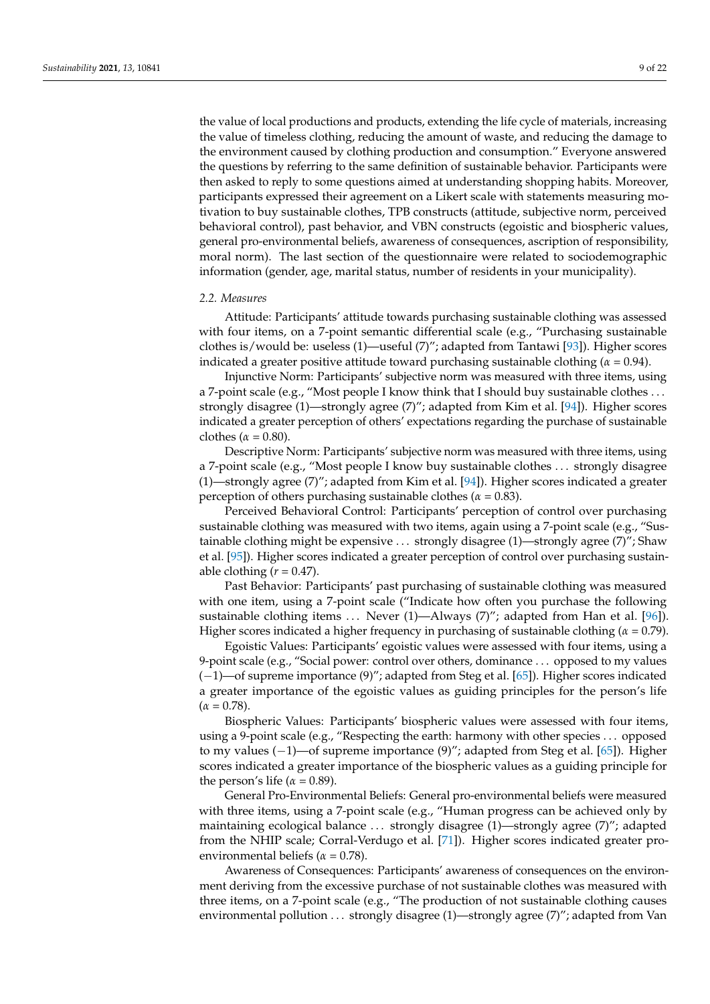the value of local productions and products, extending the life cycle of materials, increasing the value of timeless clothing, reducing the amount of waste, and reducing the damage to the environment caused by clothing production and consumption." Everyone answered the questions by referring to the same definition of sustainable behavior. Participants were then asked to reply to some questions aimed at understanding shopping habits. Moreover, participants expressed their agreement on a Likert scale with statements measuring motivation to buy sustainable clothes, TPB constructs (attitude, subjective norm, perceived behavioral control), past behavior, and VBN constructs (egoistic and biospheric values, general pro-environmental beliefs, awareness of consequences, ascription of responsibility, moral norm). The last section of the questionnaire were related to sociodemographic information (gender, age, marital status, number of residents in your municipality).

#### *2.2. Measures*

Attitude: Participants' attitude towards purchasing sustainable clothing was assessed with four items, on a 7-point semantic differential scale (e.g., "Purchasing sustainable clothes is/would be: useless (1)—useful (7)"; adapted from Tantawi [\[93\]](#page-20-27)). Higher scores indicated a greater positive attitude toward purchasing sustainable clothing ( $\alpha$  = 0.94).

Injunctive Norm: Participants' subjective norm was measured with three items, using a 7-point scale (e.g., "Most people I know think that I should buy sustainable clothes ... strongly disagree (1)—strongly agree (7)"; adapted from Kim et al. [\[94\]](#page-21-0)). Higher scores indicated a greater perception of others' expectations regarding the purchase of sustainable clothes ( $\alpha$  = 0.80).

Descriptive Norm: Participants' subjective norm was measured with three items, using a 7-point scale (e.g., "Most people I know buy sustainable clothes . . . strongly disagree (1)—strongly agree (7)"; adapted from Kim et al. [\[94\]](#page-21-0)). Higher scores indicated a greater perception of others purchasing sustainable clothes ( $\alpha = 0.83$ ).

Perceived Behavioral Control: Participants' perception of control over purchasing sustainable clothing was measured with two items, again using a 7-point scale (e.g., "Sustainable clothing might be expensive . . . strongly disagree (1)—strongly agree (7)"; Shaw et al. [\[95\]](#page-21-1)). Higher scores indicated a greater perception of control over purchasing sustainable clothing  $(r = 0.47)$ .

Past Behavior: Participants' past purchasing of sustainable clothing was measured with one item, using a 7-point scale ("Indicate how often you purchase the following sustainable clothing items ... Never (1)—Always (7)"; adapted from Han et al. [\[96\]](#page-21-2)). Higher scores indicated a higher frequency in purchasing of sustainable clothing (*α* = 0.79).

Egoistic Values: Participants' egoistic values were assessed with four items, using a 9-point scale (e.g., "Social power: control over others, dominance . . . opposed to my values (−1)—of supreme importance (9)"; adapted from Steg et al. [\[65\]](#page-20-1)). Higher scores indicated a greater importance of the egoistic values as guiding principles for the person's life  $(\alpha = 0.78)$ .

Biospheric Values: Participants' biospheric values were assessed with four items, using a 9-point scale (e.g., "Respecting the earth: harmony with other species . . . opposed to my values (−1)—of supreme importance (9)"; adapted from Steg et al. [\[65\]](#page-20-1)). Higher scores indicated a greater importance of the biospheric values as a guiding principle for the person's life ( $\alpha$  = 0.89).

General Pro-Environmental Beliefs: General pro-environmental beliefs were measured with three items, using a 7-point scale (e.g., "Human progress can be achieved only by maintaining ecological balance . . . strongly disagree (1)—strongly agree (7)"; adapted from the NHIP scale; Corral-Verdugo et al. [\[71\]](#page-20-7)). Higher scores indicated greater proenvironmental beliefs ( $\alpha$  = 0.78).

Awareness of Consequences: Participants' awareness of consequences on the environment deriving from the excessive purchase of not sustainable clothes was measured with three items, on a 7-point scale (e.g., "The production of not sustainable clothing causes environmental pollution . . . strongly disagree (1)—strongly agree (7)"; adapted from Van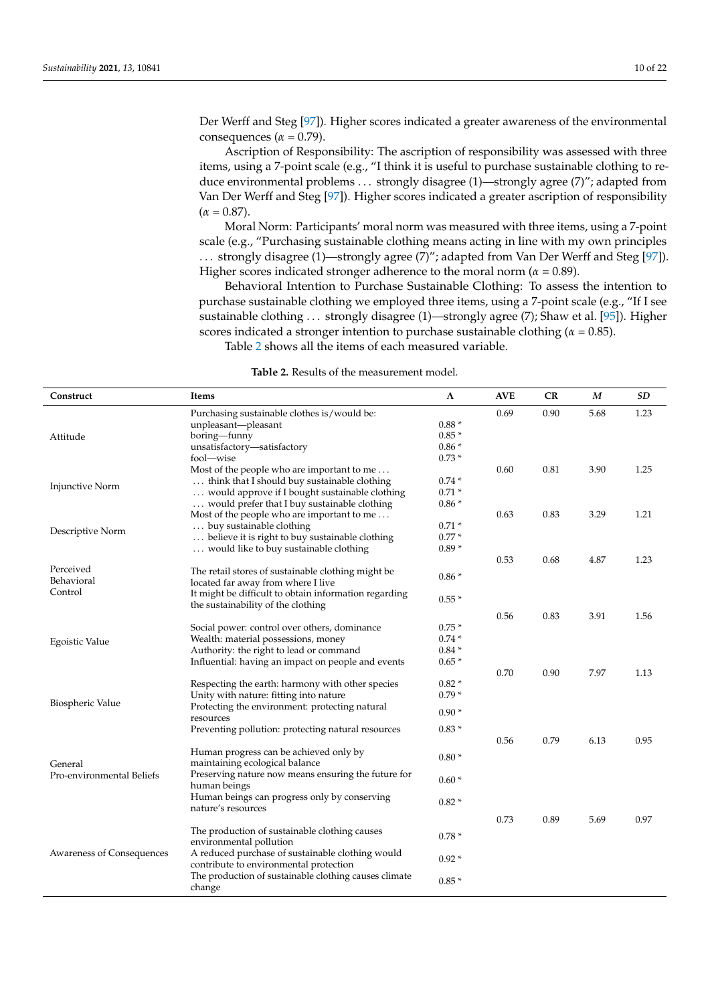Der Werff and Steg [\[97\]](#page-21-3)). Higher scores indicated a greater awareness of the environmental consequences ( $\alpha$  = 0.79).

Ascription of Responsibility: The ascription of responsibility was assessed with three items, using a 7-point scale (e.g., "I think it is useful to purchase sustainable clothing to reduce environmental problems . . . strongly disagree (1)—strongly agree (7)"; adapted from Van Der Werff and Steg [\[97\]](#page-21-3)). Higher scores indicated a greater ascription of responsibility  $(\alpha = 0.87)$ .

Moral Norm: Participants' moral norm was measured with three items, using a 7-point scale (e.g., "Purchasing sustainable clothing means acting in line with my own principles . . . strongly disagree (1)—strongly agree (7)"; adapted from Van Der Werff and Steg [\[97\]](#page-21-3)). Higher scores indicated stronger adherence to the moral norm ( $\alpha = 0.89$ ).

Behavioral Intention to Purchase Sustainable Clothing: To assess the intention to purchase sustainable clothing we employed three items, using a 7-point scale (e.g., "If I see sustainable clothing . . . strongly disagree (1)—strongly agree (7); Shaw et al. [\[95\]](#page-21-1)). Higher scores indicated a stronger intention to purchase sustainable clothing (*α* = 0.85). Table [2](#page-10-0) shows all the items of each measured variable.

|  | <b>Table 2.</b> Results of the measurement model. |  |
|--|---------------------------------------------------|--|
|--|---------------------------------------------------|--|

| Construct                 | Items                                                 | Λ       | <b>AVE</b> | CR   | M    | SD   |
|---------------------------|-------------------------------------------------------|---------|------------|------|------|------|
|                           | Purchasing sustainable clothes is/would be:           |         | 0.69       | 0.90 | 5.68 | 1.23 |
|                           | unpleasant-pleasant                                   | $0.88*$ |            |      |      |      |
| Attitude                  | boring-funny                                          | $0.85*$ |            |      |      |      |
|                           | unsatisfactory-satisfactory                           | $0.86*$ |            |      |      |      |
|                           | fool-wise                                             | $0.73*$ |            |      |      |      |
|                           | Most of the people who are important to me            |         | 0.60       | 0.81 | 3.90 | 1.25 |
|                           | think that I should buy sustainable clothing          | $0.74*$ |            |      |      |      |
| <b>Injunctive Norm</b>    | would approve if I bought sustainable clothing        | $0.71*$ |            |      |      |      |
|                           | would prefer that I buy sustainable clothing          | $0.86*$ |            |      |      |      |
|                           | Most of the people who are important to me            |         | 0.63       | 0.83 | 3.29 | 1.21 |
|                           | buy sustainable clothing                              | $0.71*$ |            |      |      |      |
| Descriptive Norm          | believe it is right to buy sustainable clothing       | $0.77*$ |            |      |      |      |
|                           | would like to buy sustainable clothing                | $0.89*$ |            |      |      |      |
|                           |                                                       |         | 0.53       | 0.68 | 4.87 | 1.23 |
| Perceived                 | The retail stores of sustainable clothing might be    |         |            |      |      |      |
| Behavioral                | located far away from where I live                    | $0.86*$ |            |      |      |      |
| Control                   | It might be difficult to obtain information regarding |         |            |      |      |      |
|                           | the sustainability of the clothing                    | $0.55*$ |            |      |      |      |
|                           |                                                       |         | 0.56       | 0.83 | 3.91 | 1.56 |
|                           | Social power: control over others, dominance          | $0.75*$ |            |      |      |      |
| <b>Egoistic Value</b>     | Wealth: material possessions, money                   | $0.74*$ |            |      |      |      |
|                           | Authority: the right to lead or command               | $0.84*$ |            |      |      |      |
|                           | Influential: having an impact on people and events    | $0.65*$ |            |      |      |      |
|                           |                                                       |         | 0.70       | 0.90 | 7.97 | 1.13 |
|                           | Respecting the earth: harmony with other species      | $0.82*$ |            |      |      |      |
|                           | Unity with nature: fitting into nature                | $0.79*$ |            |      |      |      |
| Biospheric Value          | Protecting the environment: protecting natural        |         |            |      |      |      |
|                           | resources                                             | $0.90*$ |            |      |      |      |
|                           | Preventing pollution: protecting natural resources    | $0.83*$ |            |      |      |      |
|                           |                                                       |         | 0.56       | 0.79 | 6.13 | 0.95 |
|                           | Human progress can be achieved only by                |         |            |      |      |      |
| General                   | maintaining ecological balance                        | $0.80*$ |            |      |      |      |
| Pro-environmental Beliefs | Preserving nature now means ensuring the future for   |         |            |      |      |      |
|                           | human beings                                          | $0.60*$ |            |      |      |      |
|                           | Human beings can progress only by conserving          |         |            |      |      |      |
|                           | nature's resources                                    | $0.82*$ |            |      |      |      |
|                           |                                                       |         | 0.73       | 0.89 | 5.69 | 0.97 |
|                           | The production of sustainable clothing causes         |         |            |      |      |      |
|                           | environmental pollution                               | $0.78*$ |            |      |      |      |
| Awareness of Consequences | A reduced purchase of sustainable clothing would      |         |            |      |      |      |
|                           | contribute to environmental protection                | $0.92*$ |            |      |      |      |
|                           |                                                       |         |            |      |      |      |
|                           | The production of sustainable clothing causes climate | $0.85*$ |            |      |      |      |
|                           | change                                                |         |            |      |      |      |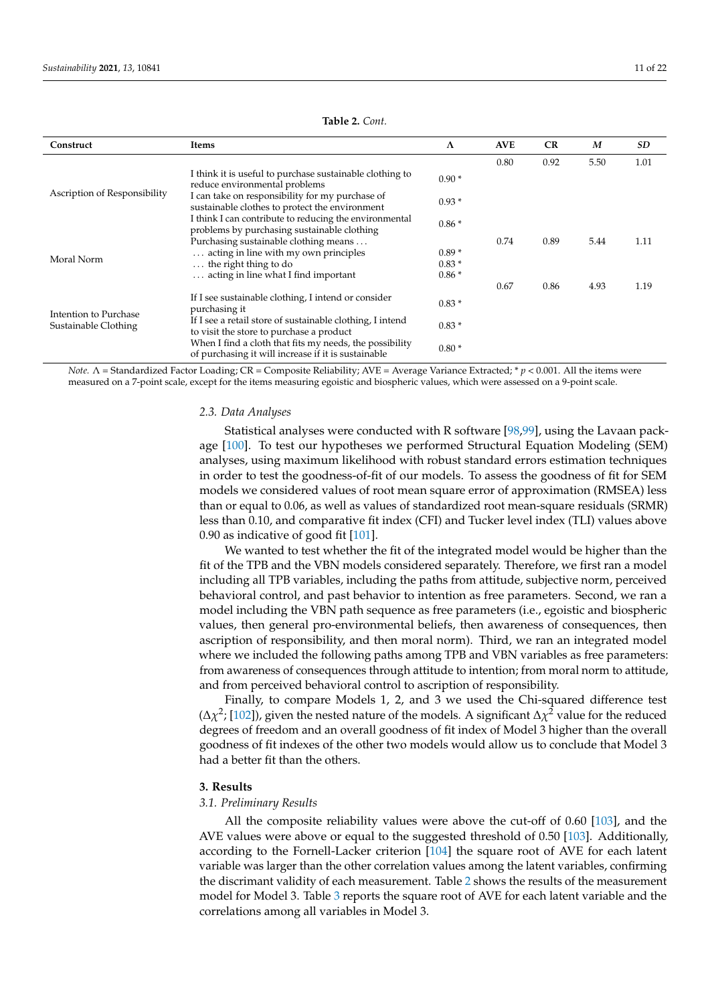<span id="page-10-0"></span>

| Construct                                     | Items                                                                                                          | $\Lambda$ | <b>AVE</b> | CR   | M    | SD   |
|-----------------------------------------------|----------------------------------------------------------------------------------------------------------------|-----------|------------|------|------|------|
|                                               |                                                                                                                |           | 0.80       | 0.92 | 5.50 | 1.01 |
|                                               | I think it is useful to purchase sustainable clothing to<br>reduce environmental problems                      | $0.90*$   |            |      |      |      |
| Ascription of Responsibility                  | I can take on responsibility for my purchase of<br>sustainable clothes to protect the environment              | $0.93*$   |            |      |      |      |
|                                               | I think I can contribute to reducing the environmental<br>problems by purchasing sustainable clothing          | $0.86*$   |            |      |      |      |
|                                               | Purchasing sustainable clothing means                                                                          |           | 0.74       | 0.89 | 5.44 | 1.11 |
| Moral Norm                                    | acting in line with my own principles                                                                          | $0.89*$   |            |      |      |      |
|                                               | $\ldots$ the right thing to do                                                                                 | $0.83*$   |            |      |      |      |
|                                               | acting in line what I find important                                                                           | $0.86*$   |            |      |      |      |
|                                               |                                                                                                                |           | 0.67       | 0.86 | 4.93 | 1.19 |
| Intention to Purchase<br>Sustainable Clothing | If I see sustainable clothing, I intend or consider<br>purchasing it                                           | $0.83*$   |            |      |      |      |
|                                               | If I see a retail store of sustainable clothing, I intend<br>to visit the store to purchase a product          | $0.83*$   |            |      |      |      |
|                                               | When I find a cloth that fits my needs, the possibility<br>of purchasing it will increase if it is sustainable | $0.80*$   |            |      |      |      |

#### **Table 2.** *Cont.*

*Note.* Λ = Standardized Factor Loading; CR = Composite Reliability; AVE = Average Variance Extracted; \* *p* < 0.001. All the items were measured on a 7-point scale, except for the items measuring egoistic and biospheric values, which were assessed on a 9-point scale.

#### *2.3. Data Analyses*

Statistical analyses were conducted with R software [\[98](#page-21-4)[,99\]](#page-21-5), using the Lavaan package [\[100\]](#page-21-6). To test our hypotheses we performed Structural Equation Modeling (SEM) analyses, using maximum likelihood with robust standard errors estimation techniques in order to test the goodness-of-fit of our models. To assess the goodness of fit for SEM models we considered values of root mean square error of approximation (RMSEA) less than or equal to 0.06, as well as values of standardized root mean-square residuals (SRMR) less than 0.10, and comparative fit index (CFI) and Tucker level index (TLI) values above 0.90 as indicative of good fit [\[101\]](#page-21-7).

We wanted to test whether the fit of the integrated model would be higher than the fit of the TPB and the VBN models considered separately. Therefore, we first ran a model including all TPB variables, including the paths from attitude, subjective norm, perceived behavioral control, and past behavior to intention as free parameters. Second, we ran a model including the VBN path sequence as free parameters (i.e., egoistic and biospheric values, then general pro-environmental beliefs, then awareness of consequences, then ascription of responsibility, and then moral norm). Third, we ran an integrated model where we included the following paths among TPB and VBN variables as free parameters: from awareness of consequences through attitude to intention; from moral norm to attitude, and from perceived behavioral control to ascription of responsibility.

Finally, to compare Models 1, 2, and 3 we used the Chi-squared difference test  $(\Delta \chi^2; [102])$  $(\Delta \chi^2; [102])$  $(\Delta \chi^2; [102])$ , given the nested nature of the models. A significant  $\Delta \chi^2$  value for the reduced degrees of freedom and an overall goodness of fit index of Model 3 higher than the overall goodness of fit indexes of the other two models would allow us to conclude that Model 3 had a better fit than the others.

#### **3. Results**

#### *3.1. Preliminary Results*

All the composite reliability values were above the cut-off of 0.60 [\[103\]](#page-21-9), and the AVE values were above or equal to the suggested threshold of 0.50 [\[103\]](#page-21-9). Additionally, according to the Fornell-Lacker criterion [\[104\]](#page-21-10) the square root of AVE for each latent variable was larger than the other correlation values among the latent variables, confirming the discrimant validity of each measurement. Table [2](#page-10-0) shows the results of the measurement model for Model 3. Table [3](#page-11-0) reports the square root of AVE for each latent variable and the correlations among all variables in Model 3.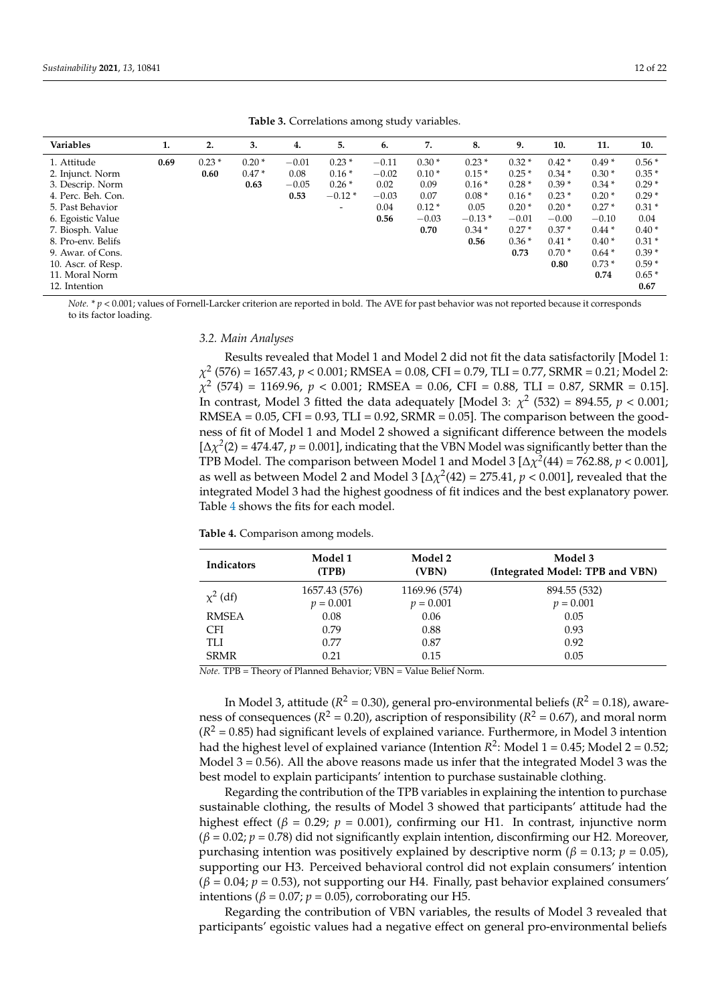<span id="page-11-0"></span>

| Variables          | 1.   | 2.      | 3.      | 4.      | 5.                       | 6.      | 7.      | 8.       | 9.      | 10.     | 11.     | 10.     |
|--------------------|------|---------|---------|---------|--------------------------|---------|---------|----------|---------|---------|---------|---------|
| 1. Attitude        | 0.69 | $0.23*$ | $0.20*$ | $-0.01$ | $0.23*$                  | $-0.11$ | $0.30*$ | $0.23*$  | $0.32*$ | $0.42*$ | $0.49*$ | $0.56*$ |
| 2. Injunct. Norm   |      | 0.60    | $0.47*$ | 0.08    | $0.16*$                  | $-0.02$ | $0.10*$ | $0.15*$  | $0.25*$ | $0.34*$ | $0.30*$ | $0.35*$ |
| 3. Descrip. Norm   |      |         | 0.63    | $-0.05$ | $0.26*$                  | 0.02    | 0.09    | $0.16*$  | $0.28*$ | $0.39*$ | $0.34*$ | $0.29*$ |
| 4. Perc. Beh. Con. |      |         |         | 0.53    | $-0.12*$                 | $-0.03$ | 0.07    | $0.08*$  | $0.16*$ | $0.23*$ | $0.20*$ | $0.29*$ |
| 5. Past Behavior   |      |         |         |         | $\overline{\phantom{0}}$ | 0.04    | $0.12*$ | 0.05     | $0.20*$ | $0.20*$ | $0.27*$ | 0.31    |
| 6. Egoistic Value  |      |         |         |         |                          | 0.56    | $-0.03$ | $-0.13*$ | $-0.01$ | $-0.00$ | $-0.10$ | 0.04    |
| 7. Biosph. Value   |      |         |         |         |                          |         | 0.70    | $0.34*$  | $0.27*$ | $0.37*$ | $0.44*$ | 0.40    |
| 8. Pro-env. Belifs |      |         |         |         |                          |         |         | 0.56     | $0.36*$ | $0.41*$ | $0.40*$ | 0.31    |
|                    |      |         |         |         |                          |         |         |          |         |         |         |         |

**Table 3.** Correlations among study variables.

10. Ascr. of Resp. **0.80** 0.73 \* 0.59 \* 11. Moral Norm **0.74** 0.65 \*

12. Intention **0.67**

*Note.* \* *p* < 0.001; values of Fornell-Larcker criterion are reported in bold. The AVE for past behavior was not reported because it corresponds to its factor loading.

9. Awar. of Cons. **0.73** 0.70 \* 0.64 \* 0.39 \*

*3.2. Main Analyses*

Results revealed that Model 1 and Model 2 did not fit the data satisfactorily [Model 1: *χ* 2 (576) = 1657.43, *p* < 0.001; RMSEA = 0.08, CFI = 0.79, TLI = 0.77, SRMR = 0.21; Model 2: *χ* 2 (574) = 1169.96, *p* < 0.001; RMSEA = 0.06, CFI = 0.88, TLI = 0.87, SRMR = 0.15]. In contrast, Model 3 fitted the data adequately [Model 3:  $\chi^2$  (532) = 894.55,  $p < 0.001$ ; RMSEA =  $0.05$ , CFI =  $0.93$ , TLI =  $0.92$ , SRMR =  $0.05$ ]. The comparison between the goodness of fit of Model 1 and Model 2 showed a significant difference between the models  $[\Delta \chi^2(2) = 474.47$ ,  $p = 0.001$ ], indicating that the VBN Model was significantly better than the TPB Model. The comparison between Model 1 and Model 3  $[\Delta \chi^2(44) = 762.88, p < 0.001]$ , as well as between Model 2 and Model 3  $[\Delta \chi^2(42) = 275.41, p < 0.001]$ , revealed that the integrated Model 3 had the highest goodness of fit indices and the best explanatory power. Table [4](#page-11-1) shows the fits for each model.

<span id="page-11-1"></span>**Table 4.** Comparison among models.

| <b>Indicators</b> | Model 1<br>(TPB) | Model 2<br>(VBN) | Model 3<br>(Integrated Model: TPB and VBN) |
|-------------------|------------------|------------------|--------------------------------------------|
| $\chi^2$ (df)     | 1657.43 (576)    | 1169.96 (574)    | 894.55 (532)                               |
|                   | $p = 0.001$      | $p = 0.001$      | $p = 0.001$                                |
| <b>RMSEA</b>      | 0.08             | 0.06             | 0.05                                       |
| <b>CFI</b>        | 0.79             | 0.88             | 0.93                                       |
| TLI               | 0.77             | 0.87             | 0.92                                       |
| <b>SRMR</b>       | 0.21             | 0.15             | 0.05                                       |

*Note.* TPB = Theory of Planned Behavior; VBN = Value Belief Norm.

In Model 3, attitude ( $R^2$  = 0.30), general pro-environmental beliefs ( $R^2$  = 0.18), awareness of consequences ( $R^2$  = 0.20), ascription of responsibility ( $R^2$  = 0.67), and moral norm  $(R<sup>2</sup> = 0.85)$  had significant levels of explained variance. Furthermore, in Model 3 intention had the highest level of explained variance (Intention  $R^2$ : Model 1 = 0.45; Model 2 = 0.52; Model  $3 = 0.56$ ). All the above reasons made us infer that the integrated Model 3 was the best model to explain participants' intention to purchase sustainable clothing.

Regarding the contribution of the TPB variables in explaining the intention to purchase sustainable clothing, the results of Model 3 showed that participants' attitude had the highest effect ( $\beta$  = 0.29;  $p$  = 0.001), confirming our H1. In contrast, injunctive norm (*β* = 0.02; *p* = 0.78) did not significantly explain intention, disconfirming our H2. Moreover, purchasing intention was positively explained by descriptive norm ( $β = 0.13$ ;  $p = 0.05$ ), supporting our H3. Perceived behavioral control did not explain consumers' intention (*β* = 0.04; *p* = 0.53), not supporting our H4. Finally, past behavior explained consumers' intentions ( $\beta$  = 0.07;  $p$  = 0.05), corroborating our H5.

Regarding the contribution of VBN variables, the results of Model 3 revealed that participants' egoistic values had a negative effect on general pro-environmental beliefs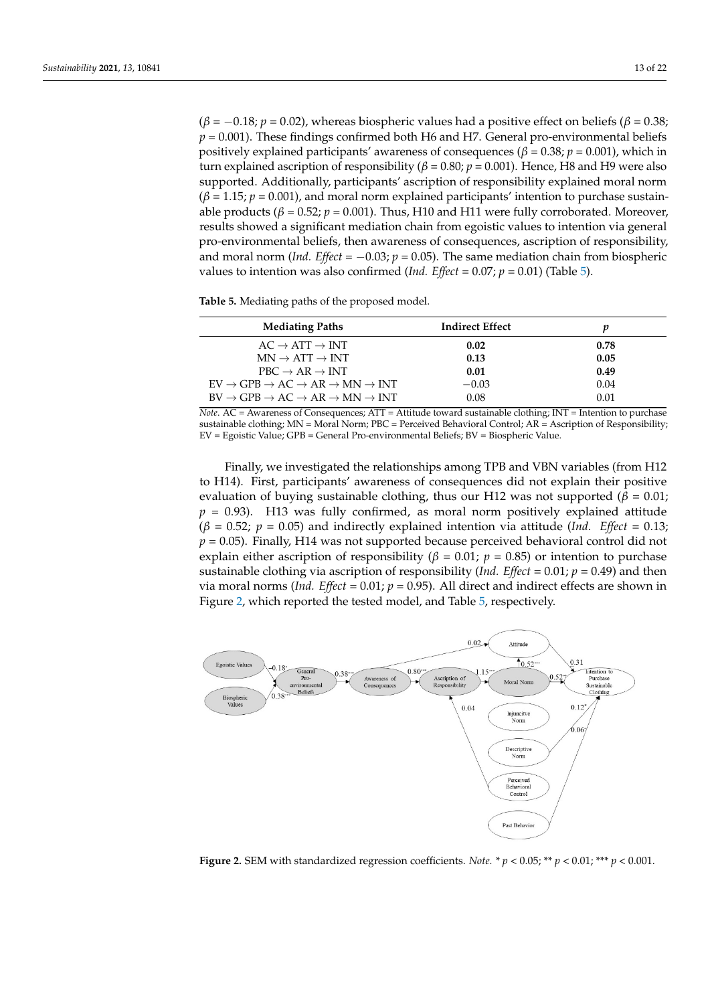$(β = -0.18; p = 0.02)$ , whereas biospheric values had a positive effect on beliefs ( $β = 0.38;$  $p = 0.001$ ). These findings confirmed both H6 and H7. General pro-environmental beliefs positively explained participants' awareness of consequences ( $\beta$  = 0.38;  $p$  = 0.001), which in turn explained ascription of responsibility ( $\beta$  = 0.80;  $p$  = 0.001). Hence, H8 and H9 were also supported. Additionally, participants' ascription of responsibility explained moral norm  $(\beta = 1.15; p = 0.001)$ , and moral norm explained participants' intention to purchase sustainable products ( $β = 0.52$ ;  $p = 0.001$ ). Thus, H10 and H11 were fully corroborated. Moreover, results showed a significant mediation chain from egoistic values to intention via general pro-environmental beliefs, then awareness of consequences, ascription of responsibility, and moral norm (*Ind. Effect* =  $-0.03$ ;  $p = 0.05$ ). The same mediation chain from biospheric values to intention was also confirmed (*Ind. Effect* =  $0.07$ ;  $p = 0.01$ ) (Table [5\)](#page-12-0).

<span id="page-12-0"></span>**Table 5.** Mediating paths of the proposed model.

| <b>Mediating Paths</b>                                                            | <b>Indirect Effect</b> |      |
|-----------------------------------------------------------------------------------|------------------------|------|
| $AC \rightarrow ATT \rightarrow INT$                                              | 0.02                   | 0.78 |
| $MN \rightarrow ATT \rightarrow INT$                                              | 0.13                   | 0.05 |
| $PBC \rightarrow AR \rightarrow INT$                                              | 0.01                   | 0.49 |
| $EV \rightarrow GPB \rightarrow AC \rightarrow AR \rightarrow MN \rightarrow INT$ | $-0.03$                | 0.04 |
| $BV \to GPB \to AC \to AR \to MN \to INT$                                         | 0.08                   | 0.01 |

*Note*. AC = Awareness of Consequences; ATT = Attitude toward sustainable clothing; INT = Intention to purchase sustainable clothing; MN = Moral Norm; PBC = Perceived Behavioral Control; AR = Ascription of Responsibility; EV = Egoistic Value; GPB = General Pro-environmental Beliefs; BV = Biospheric Value.

Finally, we investigated the relationships among TPB and VBN variables (from H12 to H14). First, participants' awareness of consequences did not explain their positive evaluation of buying sustainable clothing, thus our H12 was not supported ( $\beta = 0.01$ ;  $p = 0.93$ ). H13 was fully confirmed, as moral norm positively explained attitude  $(\beta = 0.52; p = 0.05)$  and indirectly explained intention via attitude (Ind. Effect = 0.13;  $p = 0.05$ ). Finally, H14 was not supported because perceived behavioral control did not explain either ascription of responsibility ( $\beta$  = 0.01;  $p$  = 0.85) or intention to purchase sustainable clothing via ascription of responsibility (*Ind. Effect* = 0.01;  $p = 0.49$ ) and then via moral norms (*Ind. Effect* =  $0.01$ ;  $p = 0.95$ ). All direct and indirect effects are shown in Figure [2,](#page-12-1) which reported the tested model, and Table [5,](#page-12-0) respectively.

<span id="page-12-1"></span>

**Figure 2.** SEM with standardized regression coefficients. *Note.* \* *p* < 0.05; \*\* *p* < 0.01; \*\*\* *p* < 0.001.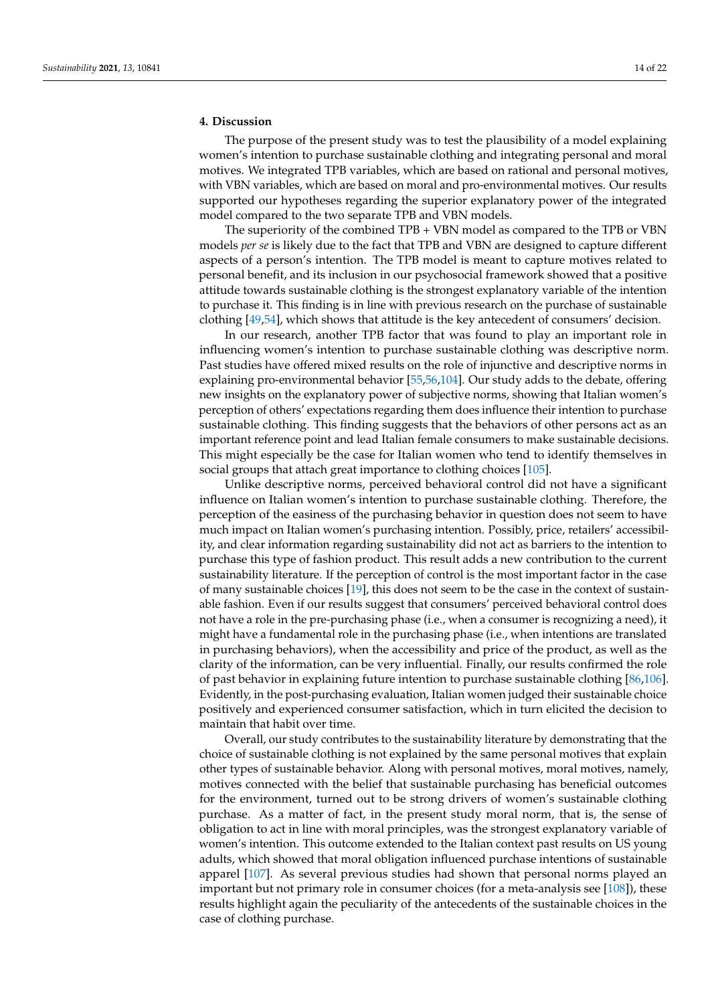### **4. Discussion**

The purpose of the present study was to test the plausibility of a model explaining women's intention to purchase sustainable clothing and integrating personal and moral motives. We integrated TPB variables, which are based on rational and personal motives, with VBN variables, which are based on moral and pro-environmental motives. Our results supported our hypotheses regarding the superior explanatory power of the integrated model compared to the two separate TPB and VBN models.

The superiority of the combined TPB + VBN model as compared to the TPB or VBN models *per se* is likely due to the fact that TPB and VBN are designed to capture different aspects of a person's intention. The TPB model is meant to capture motives related to personal benefit, and its inclusion in our psychosocial framework showed that a positive attitude towards sustainable clothing is the strongest explanatory variable of the intention to purchase it. This finding is in line with previous research on the purchase of sustainable clothing [\[49,](#page-19-11)[54\]](#page-19-16), which shows that attitude is the key antecedent of consumers' decision.

In our research, another TPB factor that was found to play an important role in influencing women's intention to purchase sustainable clothing was descriptive norm. Past studies have offered mixed results on the role of injunctive and descriptive norms in explaining pro-environmental behavior [\[55](#page-19-18)[,56](#page-19-17)[,104\]](#page-21-10). Our study adds to the debate, offering new insights on the explanatory power of subjective norms, showing that Italian women's perception of others' expectations regarding them does influence their intention to purchase sustainable clothing. This finding suggests that the behaviors of other persons act as an important reference point and lead Italian female consumers to make sustainable decisions. This might especially be the case for Italian women who tend to identify themselves in social groups that attach great importance to clothing choices [\[105\]](#page-21-11).

Unlike descriptive norms, perceived behavioral control did not have a significant influence on Italian women's intention to purchase sustainable clothing. Therefore, the perception of the easiness of the purchasing behavior in question does not seem to have much impact on Italian women's purchasing intention. Possibly, price, retailers' accessibility, and clear information regarding sustainability did not act as barriers to the intention to purchase this type of fashion product. This result adds a new contribution to the current sustainability literature. If the perception of control is the most important factor in the case of many sustainable choices [\[19\]](#page-18-13), this does not seem to be the case in the context of sustainable fashion. Even if our results suggest that consumers' perceived behavioral control does not have a role in the pre-purchasing phase (i.e., when a consumer is recognizing a need), it might have a fundamental role in the purchasing phase (i.e., when intentions are translated in purchasing behaviors), when the accessibility and price of the product, as well as the clarity of the information, can be very influential. Finally, our results confirmed the role of past behavior in explaining future intention to purchase sustainable clothing [\[86,](#page-20-20)[106\]](#page-21-12). Evidently, in the post-purchasing evaluation, Italian women judged their sustainable choice positively and experienced consumer satisfaction, which in turn elicited the decision to maintain that habit over time.

Overall, our study contributes to the sustainability literature by demonstrating that the choice of sustainable clothing is not explained by the same personal motives that explain other types of sustainable behavior. Along with personal motives, moral motives, namely, motives connected with the belief that sustainable purchasing has beneficial outcomes for the environment, turned out to be strong drivers of women's sustainable clothing purchase. As a matter of fact, in the present study moral norm, that is, the sense of obligation to act in line with moral principles, was the strongest explanatory variable of women's intention. This outcome extended to the Italian context past results on US young adults, which showed that moral obligation influenced purchase intentions of sustainable apparel [\[107\]](#page-21-13). As several previous studies had shown that personal norms played an important but not primary role in consumer choices (for a meta-analysis see [\[108\]](#page-21-14)), these results highlight again the peculiarity of the antecedents of the sustainable choices in the case of clothing purchase.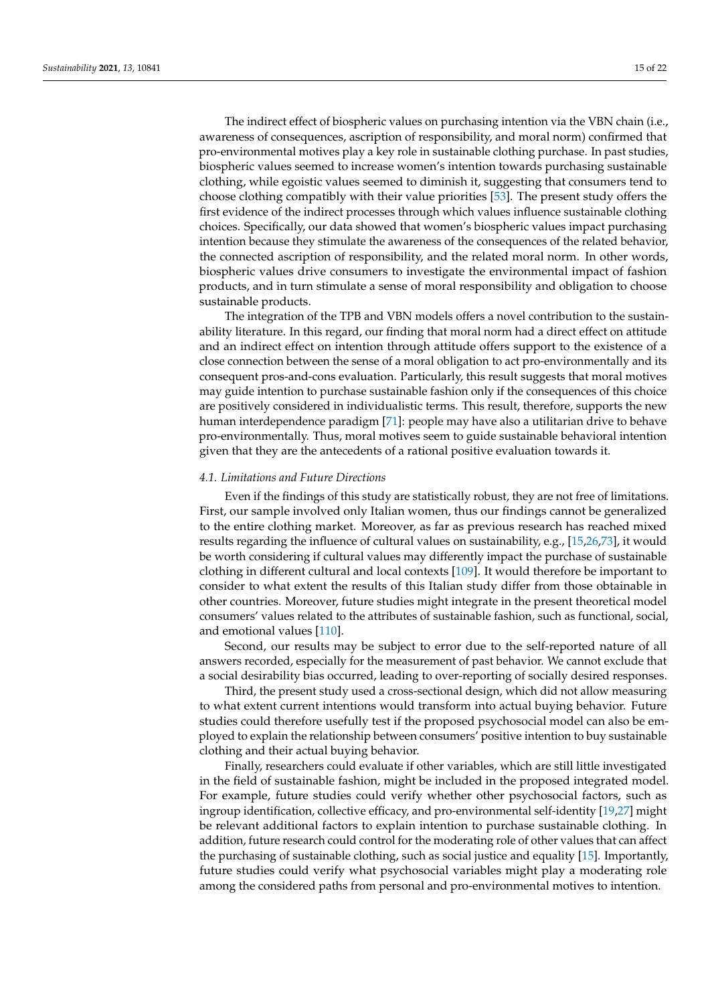The indirect effect of biospheric values on purchasing intention via the VBN chain (i.e., awareness of consequences, ascription of responsibility, and moral norm) confirmed that pro-environmental motives play a key role in sustainable clothing purchase. In past studies, biospheric values seemed to increase women's intention towards purchasing sustainable clothing, while egoistic values seemed to diminish it, suggesting that consumers tend to choose clothing compatibly with their value priorities [\[53\]](#page-19-14). The present study offers the first evidence of the indirect processes through which values influence sustainable clothing choices. Specifically, our data showed that women's biospheric values impact purchasing intention because they stimulate the awareness of the consequences of the related behavior, the connected ascription of responsibility, and the related moral norm. In other words, biospheric values drive consumers to investigate the environmental impact of fashion products, and in turn stimulate a sense of moral responsibility and obligation to choose sustainable products.

The integration of the TPB and VBN models offers a novel contribution to the sustainability literature. In this regard, our finding that moral norm had a direct effect on attitude and an indirect effect on intention through attitude offers support to the existence of a close connection between the sense of a moral obligation to act pro-environmentally and its consequent pros-and-cons evaluation. Particularly, this result suggests that moral motives may guide intention to purchase sustainable fashion only if the consequences of this choice are positively considered in individualistic terms. This result, therefore, supports the new human interdependence paradigm [\[71\]](#page-20-7): people may have also a utilitarian drive to behave pro-environmentally. Thus, moral motives seem to guide sustainable behavioral intention given that they are the antecedents of a rational positive evaluation towards it.

#### *4.1. Limitations and Future Directions*

Even if the findings of this study are statistically robust, they are not free of limitations. First, our sample involved only Italian women, thus our findings cannot be generalized to the entire clothing market. Moreover, as far as previous research has reached mixed results regarding the influence of cultural values on sustainability, e.g., [\[15](#page-18-9)[,26,](#page-18-21)[73\]](#page-20-9), it would be worth considering if cultural values may differently impact the purchase of sustainable clothing in different cultural and local contexts [\[109\]](#page-21-15). It would therefore be important to consider to what extent the results of this Italian study differ from those obtainable in other countries. Moreover, future studies might integrate in the present theoretical model consumers' values related to the attributes of sustainable fashion, such as functional, social, and emotional values [\[110\]](#page-21-16).

Second, our results may be subject to error due to the self-reported nature of all answers recorded, especially for the measurement of past behavior. We cannot exclude that a social desirability bias occurred, leading to over-reporting of socially desired responses.

Third, the present study used a cross-sectional design, which did not allow measuring to what extent current intentions would transform into actual buying behavior. Future studies could therefore usefully test if the proposed psychosocial model can also be employed to explain the relationship between consumers' positive intention to buy sustainable clothing and their actual buying behavior.

Finally, researchers could evaluate if other variables, which are still little investigated in the field of sustainable fashion, might be included in the proposed integrated model. For example, future studies could verify whether other psychosocial factors, such as ingroup identification, collective efficacy, and pro-environmental self-identity [\[19,](#page-18-13)[27\]](#page-18-22) might be relevant additional factors to explain intention to purchase sustainable clothing. In addition, future research could control for the moderating role of other values that can affect the purchasing of sustainable clothing, such as social justice and equality [\[15\]](#page-18-9). Importantly, future studies could verify what psychosocial variables might play a moderating role among the considered paths from personal and pro-environmental motives to intention.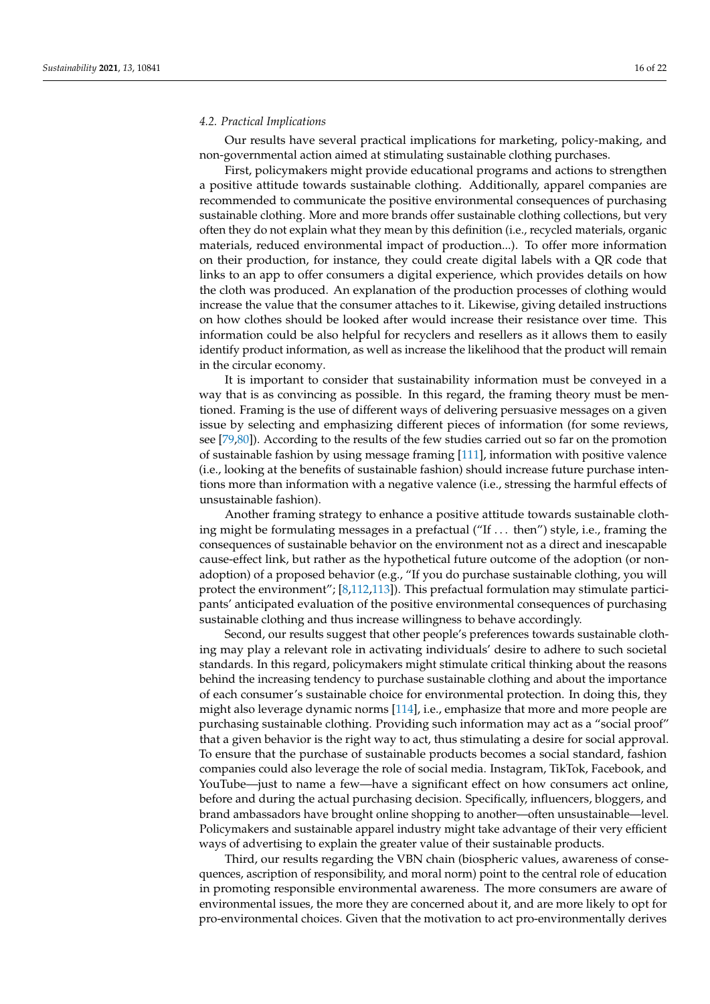#### *4.2. Practical Implications*

Our results have several practical implications for marketing, policy-making, and non-governmental action aimed at stimulating sustainable clothing purchases.

First, policymakers might provide educational programs and actions to strengthen a positive attitude towards sustainable clothing. Additionally, apparel companies are recommended to communicate the positive environmental consequences of purchasing sustainable clothing. More and more brands offer sustainable clothing collections, but very often they do not explain what they mean by this definition (i.e., recycled materials, organic materials, reduced environmental impact of production...). To offer more information on their production, for instance, they could create digital labels with a QR code that links to an app to offer consumers a digital experience, which provides details on how the cloth was produced. An explanation of the production processes of clothing would increase the value that the consumer attaches to it. Likewise, giving detailed instructions on how clothes should be looked after would increase their resistance over time. This information could be also helpful for recyclers and resellers as it allows them to easily identify product information, as well as increase the likelihood that the product will remain in the circular economy.

It is important to consider that sustainability information must be conveyed in a way that is as convincing as possible. In this regard, the framing theory must be mentioned. Framing is the use of different ways of delivering persuasive messages on a given issue by selecting and emphasizing different pieces of information (for some reviews, see [\[79,](#page-20-13)[80\]](#page-20-14)). According to the results of the few studies carried out so far on the promotion of sustainable fashion by using message framing [\[111\]](#page-21-17), information with positive valence (i.e., looking at the benefits of sustainable fashion) should increase future purchase intentions more than information with a negative valence (i.e., stressing the harmful effects of unsustainable fashion).

Another framing strategy to enhance a positive attitude towards sustainable clothing might be formulating messages in a prefactual ("If . . . then") style, i.e., framing the consequences of sustainable behavior on the environment not as a direct and inescapable cause-effect link, but rather as the hypothetical future outcome of the adoption (or nonadoption) of a proposed behavior (e.g., "If you do purchase sustainable clothing, you will protect the environment"; [\[8,](#page-18-2)[112,](#page-21-18)[113\]](#page-21-19)). This prefactual formulation may stimulate participants' anticipated evaluation of the positive environmental consequences of purchasing sustainable clothing and thus increase willingness to behave accordingly.

Second, our results suggest that other people's preferences towards sustainable clothing may play a relevant role in activating individuals' desire to adhere to such societal standards. In this regard, policymakers might stimulate critical thinking about the reasons behind the increasing tendency to purchase sustainable clothing and about the importance of each consumer's sustainable choice for environmental protection. In doing this, they might also leverage dynamic norms [\[114\]](#page-21-20), i.e., emphasize that more and more people are purchasing sustainable clothing. Providing such information may act as a "social proof" that a given behavior is the right way to act, thus stimulating a desire for social approval. To ensure that the purchase of sustainable products becomes a social standard, fashion companies could also leverage the role of social media. Instagram, TikTok, Facebook, and YouTube—just to name a few—have a significant effect on how consumers act online, before and during the actual purchasing decision. Specifically, influencers, bloggers, and brand ambassadors have brought online shopping to another—often unsustainable—level. Policymakers and sustainable apparel industry might take advantage of their very efficient ways of advertising to explain the greater value of their sustainable products.

Third, our results regarding the VBN chain (biospheric values, awareness of consequences, ascription of responsibility, and moral norm) point to the central role of education in promoting responsible environmental awareness. The more consumers are aware of environmental issues, the more they are concerned about it, and are more likely to opt for pro-environmental choices. Given that the motivation to act pro-environmentally derives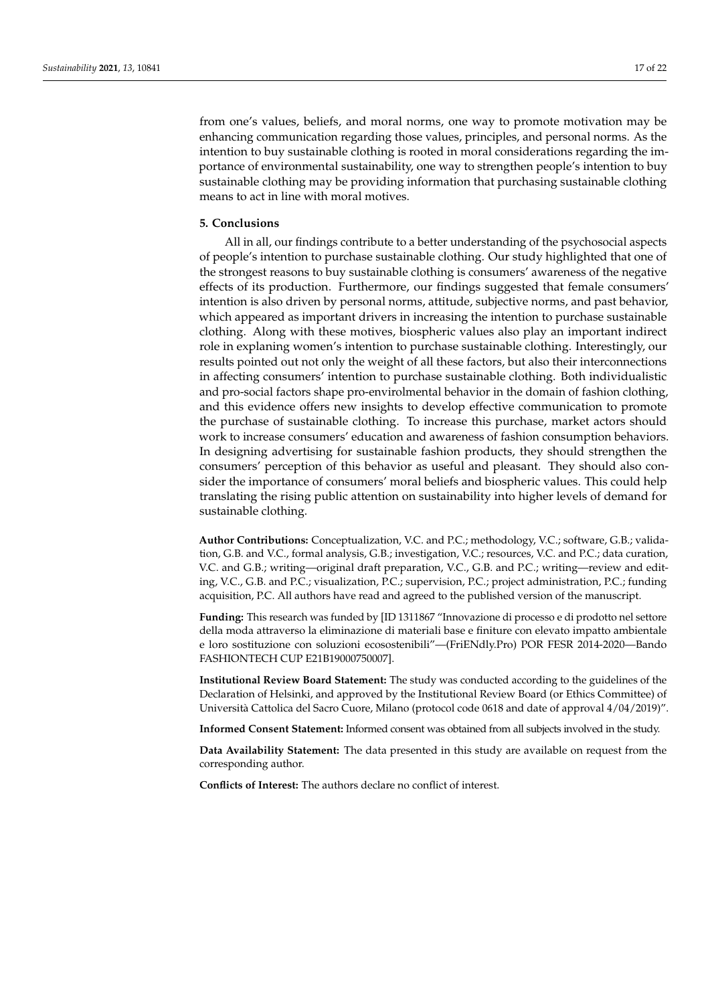from one's values, beliefs, and moral norms, one way to promote motivation may be enhancing communication regarding those values, principles, and personal norms. As the intention to buy sustainable clothing is rooted in moral considerations regarding the importance of environmental sustainability, one way to strengthen people's intention to buy sustainable clothing may be providing information that purchasing sustainable clothing means to act in line with moral motives.

#### **5. Conclusions**

All in all, our findings contribute to a better understanding of the psychosocial aspects of people's intention to purchase sustainable clothing. Our study highlighted that one of the strongest reasons to buy sustainable clothing is consumers' awareness of the negative effects of its production. Furthermore, our findings suggested that female consumers' intention is also driven by personal norms, attitude, subjective norms, and past behavior, which appeared as important drivers in increasing the intention to purchase sustainable clothing. Along with these motives, biospheric values also play an important indirect role in explaning women's intention to purchase sustainable clothing. Interestingly, our results pointed out not only the weight of all these factors, but also their interconnections in affecting consumers' intention to purchase sustainable clothing. Both individualistic and pro-social factors shape pro-envirolmental behavior in the domain of fashion clothing, and this evidence offers new insights to develop effective communication to promote the purchase of sustainable clothing. To increase this purchase, market actors should work to increase consumers' education and awareness of fashion consumption behaviors. In designing advertising for sustainable fashion products, they should strengthen the consumers' perception of this behavior as useful and pleasant. They should also consider the importance of consumers' moral beliefs and biospheric values. This could help translating the rising public attention on sustainability into higher levels of demand for sustainable clothing.

**Author Contributions:** Conceptualization, V.C. and P.C.; methodology, V.C.; software, G.B.; validation, G.B. and V.C., formal analysis, G.B.; investigation, V.C.; resources, V.C. and P.C.; data curation, V.C. and G.B.; writing—original draft preparation, V.C., G.B. and P.C.; writing—review and editing, V.C., G.B. and P.C.; visualization, P.C.; supervision, P.C.; project administration, P.C.; funding acquisition, P.C. All authors have read and agreed to the published version of the manuscript.

**Funding:** This research was funded by [ID 1311867 "Innovazione di processo e di prodotto nel settore della moda attraverso la eliminazione di materiali base e finiture con elevato impatto ambientale e loro sostituzione con soluzioni ecosostenibili"—(FriENdly.Pro) POR FESR 2014-2020—Bando FASHIONTECH CUP E21B19000750007].

**Institutional Review Board Statement:** The study was conducted according to the guidelines of the Declaration of Helsinki, and approved by the Institutional Review Board (or Ethics Committee) of Università Cattolica del Sacro Cuore, Milano (protocol code 0618 and date of approval 4/04/2019)".

**Informed Consent Statement:** Informed consent was obtained from all subjects involved in the study.

**Data Availability Statement:** The data presented in this study are available on request from the corresponding author.

**Conflicts of Interest:** The authors declare no conflict of interest.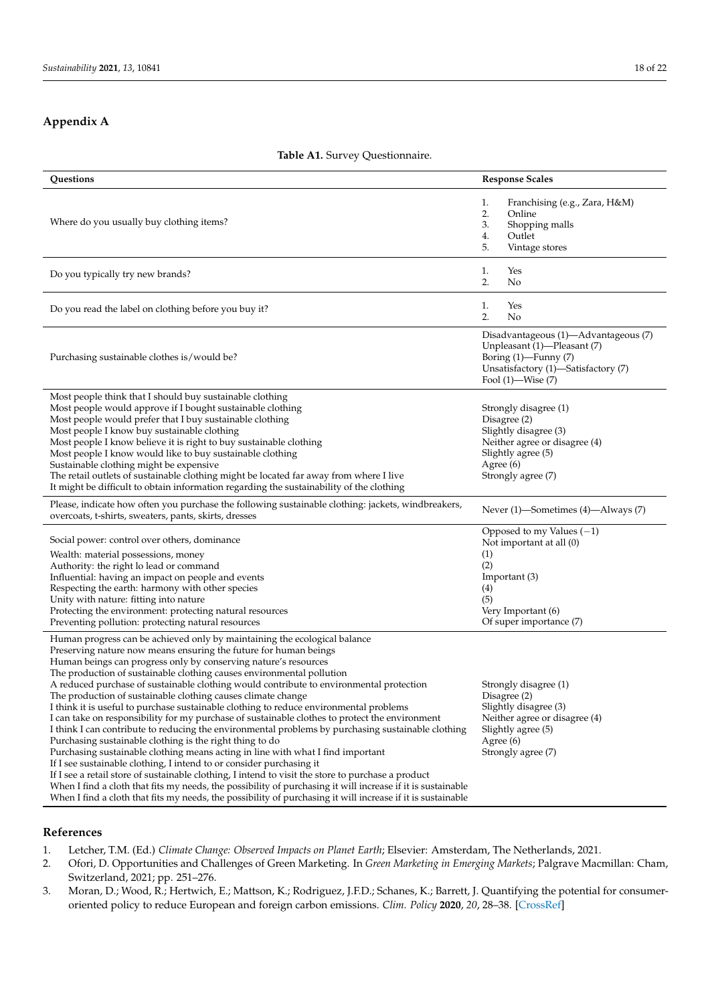## <span id="page-17-3"></span>**Appendix A**

### **Table A1.** Survey Questionnaire.

| Questions                                                                                                                                                                                                                                                                                                                                                                                                                                                                                                                                                                                                                                                                                                                                                                                                                                                                                                                                                                                                                                                                                                                                                                                                                                                                                                         | <b>Response Scales</b>                                                                                                                                       |
|-------------------------------------------------------------------------------------------------------------------------------------------------------------------------------------------------------------------------------------------------------------------------------------------------------------------------------------------------------------------------------------------------------------------------------------------------------------------------------------------------------------------------------------------------------------------------------------------------------------------------------------------------------------------------------------------------------------------------------------------------------------------------------------------------------------------------------------------------------------------------------------------------------------------------------------------------------------------------------------------------------------------------------------------------------------------------------------------------------------------------------------------------------------------------------------------------------------------------------------------------------------------------------------------------------------------|--------------------------------------------------------------------------------------------------------------------------------------------------------------|
| Where do you usually buy clothing items?                                                                                                                                                                                                                                                                                                                                                                                                                                                                                                                                                                                                                                                                                                                                                                                                                                                                                                                                                                                                                                                                                                                                                                                                                                                                          | Franchising (e.g., Zara, H&M)<br>1.<br>2.<br>Online<br>3.<br>Shopping malls<br>Outlet<br>4.<br>5.<br>Vintage stores                                          |
| Do you typically try new brands?                                                                                                                                                                                                                                                                                                                                                                                                                                                                                                                                                                                                                                                                                                                                                                                                                                                                                                                                                                                                                                                                                                                                                                                                                                                                                  | Yes<br>1.<br>2.<br>No                                                                                                                                        |
| Do you read the label on clothing before you buy it?                                                                                                                                                                                                                                                                                                                                                                                                                                                                                                                                                                                                                                                                                                                                                                                                                                                                                                                                                                                                                                                                                                                                                                                                                                                              | Yes<br>1.<br>2.<br>No                                                                                                                                        |
| Purchasing sustainable clothes is/would be?                                                                                                                                                                                                                                                                                                                                                                                                                                                                                                                                                                                                                                                                                                                                                                                                                                                                                                                                                                                                                                                                                                                                                                                                                                                                       | Disadvantageous (1)—Advantageous (7)<br>Unpleasant (1)-Pleasant (7)<br>Boring (1)-Funny (7)<br>Unsatisfactory (1)—Satisfactory (7)<br>Fool $(1)$ —Wise $(7)$ |
| Most people think that I should buy sustainable clothing<br>Most people would approve if I bought sustainable clothing<br>Most people would prefer that I buy sustainable clothing<br>Most people I know buy sustainable clothing<br>Most people I know believe it is right to buy sustainable clothing<br>Most people I know would like to buy sustainable clothing<br>Sustainable clothing might be expensive<br>The retail outlets of sustainable clothing might be located far away from where I live<br>It might be difficult to obtain information regarding the sustainability of the clothing                                                                                                                                                                                                                                                                                                                                                                                                                                                                                                                                                                                                                                                                                                             | Strongly disagree (1)<br>Disagree (2)<br>Slightly disagree (3)<br>Neither agree or disagree (4)<br>Slightly agree (5)<br>Agree $(6)$<br>Strongly agree (7)   |
| Please, indicate how often you purchase the following sustainable clothing: jackets, windbreakers,<br>overcoats, t-shirts, sweaters, pants, skirts, dresses                                                                                                                                                                                                                                                                                                                                                                                                                                                                                                                                                                                                                                                                                                                                                                                                                                                                                                                                                                                                                                                                                                                                                       | Never (1)—Sometimes (4)—Always (7)                                                                                                                           |
| Social power: control over others, dominance<br>Wealth: material possessions, money<br>Authority: the right lo lead or command<br>Influential: having an impact on people and events<br>Respecting the earth: harmony with other species<br>Unity with nature: fitting into nature<br>Protecting the environment: protecting natural resources<br>Preventing pollution: protecting natural resources                                                                                                                                                                                                                                                                                                                                                                                                                                                                                                                                                                                                                                                                                                                                                                                                                                                                                                              | Opposed to my Values $(-1)$<br>Not important at all (0)<br>(1)<br>(2)<br>Important (3)<br>(4)<br>(5)<br>Very Important (6)<br>Of super importance (7)        |
| Human progress can be achieved only by maintaining the ecological balance<br>Preserving nature now means ensuring the future for human beings<br>Human beings can progress only by conserving nature's resources<br>The production of sustainable clothing causes environmental pollution<br>A reduced purchase of sustainable clothing would contribute to environmental protection<br>The production of sustainable clothing causes climate change<br>I think it is useful to purchase sustainable clothing to reduce environmental problems<br>I can take on responsibility for my purchase of sustainable clothes to protect the environment<br>I think I can contribute to reducing the environmental problems by purchasing sustainable clothing<br>Purchasing sustainable clothing is the right thing to do<br>Purchasing sustainable clothing means acting in line with what I find important<br>If I see sustainable clothing, I intend to or consider purchasing it<br>If I see a retail store of sustainable clothing, I intend to visit the store to purchase a product<br>When I find a cloth that fits my needs, the possibility of purchasing it will increase if it is sustainable<br>When I find a cloth that fits my needs, the possibility of purchasing it will increase if it is sustainable | Strongly disagree (1)<br>Disagree (2)<br>Slightly disagree (3)<br>Neither agree or disagree (4)<br>Slightly agree (5)<br>Agree $(6)$<br>Strongly agree (7)   |

## **References**

<span id="page-17-0"></span>1. Letcher, T.M. (Ed.) *Climate Change: Observed Impacts on Planet Earth*; Elsevier: Amsterdam, The Netherlands, 2021.

- <span id="page-17-1"></span>2. Ofori, D. Opportunities and Challenges of Green Marketing. In *Green Marketing in Emerging Markets*; Palgrave Macmillan: Cham, Switzerland, 2021; pp. 251–276.
- <span id="page-17-2"></span>3. Moran, D.; Wood, R.; Hertwich, E.; Mattson, K.; Rodriguez, J.F.D.; Schanes, K.; Barrett, J. Quantifying the potential for consumeroriented policy to reduce European and foreign carbon emissions. *Clim. Policy* **2020**, *20*, 28–38. [\[CrossRef\]](http://doi.org/10.1080/14693062.2018.1551186)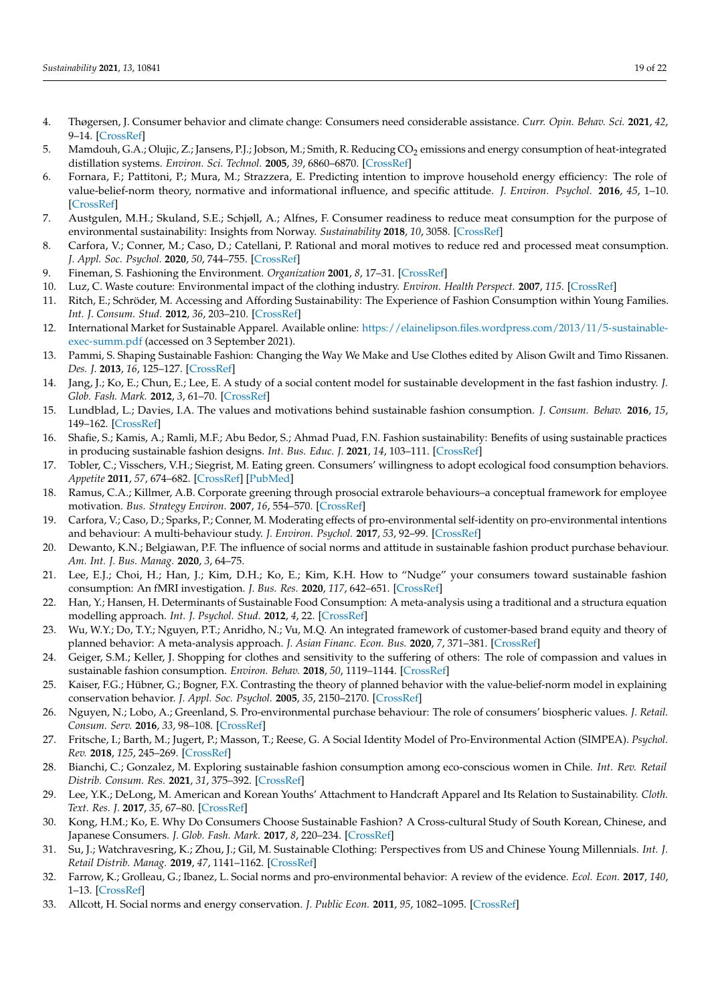- <span id="page-18-0"></span>4. Thøgersen, J. Consumer behavior and climate change: Consumers need considerable assistance. *Curr. Opin. Behav. Sci.* **2021**, *42*, 9–14. [\[CrossRef\]](http://doi.org/10.1016/j.cobeha.2021.02.008)
- <span id="page-18-1"></span>5. Mamdouh, G.A.; Olujic, Z.; Jansens, P.J.; Jobson, M.; Smith, R. Reducing CO<sub>2</sub> emissions and energy consumption of heat-integrated distillation systems. *Environ. Sci. Technol.* **2005**, *39*, 6860–6870. [\[CrossRef\]](http://doi.org/10.1021/es049795q)
- <span id="page-18-28"></span>6. Fornara, F.; Pattitoni, P.; Mura, M.; Strazzera, E. Predicting intention to improve household energy efficiency: The role of value-belief-norm theory, normative and informational influence, and specific attitude. *J. Environ. Psychol.* **2016**, *45*, 1–10. [\[CrossRef\]](http://doi.org/10.1016/j.jenvp.2015.11.001)
- <span id="page-18-11"></span>7. Austgulen, M.H.; Skuland, S.E.; Schjøll, A.; Alfnes, F. Consumer readiness to reduce meat consumption for the purpose of environmental sustainability: Insights from Norway. *Sustainability* **2018**, *10*, 3058. [\[CrossRef\]](http://doi.org/10.3390/su10093058)
- <span id="page-18-2"></span>8. Carfora, V.; Conner, M.; Caso, D.; Catellani, P. Rational and moral motives to reduce red and processed meat consumption. *J. Appl. Soc. Psychol.* **2020**, *50*, 744–755. [\[CrossRef\]](http://doi.org/10.1111/jasp.12710)
- <span id="page-18-3"></span>9. Fineman, S. Fashioning the Environment. *Organization* **2001**, *8*, 17–31. [\[CrossRef\]](http://doi.org/10.1177/135050840181002)
- <span id="page-18-4"></span>10. Luz, C. Waste couture: Environmental impact of the clothing industry. *Environ. Health Perspect.* **2007**, *115*. [\[CrossRef\]](http://doi.org/10.1289/ehp.115-a449)
- <span id="page-18-5"></span>11. Ritch, E.; Schröder, M. Accessing and Affording Sustainability: The Experience of Fashion Consumption within Young Families. *Int. J. Consum. Stud.* **2012**, *36*, 203–210. [\[CrossRef\]](http://doi.org/10.1111/j.1470-6431.2011.01088.x)
- <span id="page-18-6"></span>12. International Market for Sustainable Apparel. Available online: [https://elainelipson.files.wordpress.com/2013/11/5-sustainable](https://elainelipson.files.wordpress.com/2013/11/5-sustainable-exec-summ.pdf)[exec-summ.pdf](https://elainelipson.files.wordpress.com/2013/11/5-sustainable-exec-summ.pdf) (accessed on 3 September 2021).
- <span id="page-18-7"></span>13. Pammi, S. Shaping Sustainable Fashion: Changing the Way We Make and Use Clothes edited by Alison Gwilt and Timo Rissanen. *Des. J.* **2013**, *16*, 125–127. [\[CrossRef\]](http://doi.org/10.2752/175630613X13512595147078)
- <span id="page-18-8"></span>14. Jang, J.; Ko, E.; Chun, E.; Lee, E. A study of a social content model for sustainable development in the fast fashion industry. *J. Glob. Fash. Mark.* **2012**, *3*, 61–70. [\[CrossRef\]](http://doi.org/10.1080/20932685.2012.10593108)
- <span id="page-18-9"></span>15. Lundblad, L.; Davies, I.A. The values and motivations behind sustainable fashion consumption. *J. Consum. Behav.* **2016**, *15*, 149–162. [\[CrossRef\]](http://doi.org/10.1002/cb.1559)
- <span id="page-18-10"></span>16. Shafie, S.; Kamis, A.; Ramli, M.F.; Abu Bedor, S.; Ahmad Puad, F.N. Fashion sustainability: Benefits of using sustainable practices in producing sustainable fashion designs. *Int. Bus. Educ. J.* **2021**, *14*, 103–111. [\[CrossRef\]](http://doi.org/10.37134/ibej.vol14.1.9.2021)
- <span id="page-18-12"></span>17. Tobler, C.; Visschers, V.H.; Siegrist, M. Eating green. Consumers' willingness to adopt ecological food consumption behaviors. *Appetite* **2011**, *57*, 674–682. [\[CrossRef\]](http://doi.org/10.1016/j.appet.2011.08.010) [\[PubMed\]](http://www.ncbi.nlm.nih.gov/pubmed/21896294)
- <span id="page-18-14"></span>18. Ramus, C.A.; Killmer, A.B. Corporate greening through prosocial extrarole behaviours–a conceptual framework for employee motivation. *Bus. Strategy Environ.* **2007**, *16*, 554–570. [\[CrossRef\]](http://doi.org/10.1002/bse.504)
- <span id="page-18-13"></span>19. Carfora, V.; Caso, D.; Sparks, P.; Conner, M. Moderating effects of pro-environmental self-identity on pro-environmental intentions and behaviour: A multi-behaviour study. *J. Environ. Psychol.* **2017**, *53*, 92–99. [\[CrossRef\]](http://doi.org/10.1016/j.jenvp.2017.07.001)
- <span id="page-18-15"></span>20. Dewanto, K.N.; Belgiawan, P.F. The influence of social norms and attitude in sustainable fashion product purchase behaviour. *Am. Int. J. Bus. Manag.* **2020**, *3*, 64–75.
- <span id="page-18-16"></span>21. Lee, E.J.; Choi, H.; Han, J.; Kim, D.H.; Ko, E.; Kim, K.H. How to "Nudge" your consumers toward sustainable fashion consumption: An fMRI investigation. *J. Bus. Res.* **2020**, *117*, 642–651. [\[CrossRef\]](http://doi.org/10.1016/j.jbusres.2019.09.050)
- <span id="page-18-17"></span>22. Han, Y.; Hansen, H. Determinants of Sustainable Food Consumption: A meta-analysis using a traditional and a structura equation modelling approach. *Int. J. Psychol. Stud.* **2012**, *4*, 22. [\[CrossRef\]](http://doi.org/10.5539/ijps.v4n1p22)
- <span id="page-18-18"></span>23. Wu, W.Y.; Do, T.Y.; Nguyen, P.T.; Anridho, N.; Vu, M.Q. An integrated framework of customer-based brand equity and theory of planned behavior: A meta-analysis approach. *J. Asian Financ. Econ. Bus.* **2020**, *7*, 371–381. [\[CrossRef\]](http://doi.org/10.13106/jafeb.2020.vol7.no8.371)
- <span id="page-18-19"></span>24. Geiger, S.M.; Keller, J. Shopping for clothes and sensitivity to the suffering of others: The role of compassion and values in sustainable fashion consumption. *Environ. Behav.* **2018**, *50*, 1119–1144. [\[CrossRef\]](http://doi.org/10.1177/0013916517732109)
- <span id="page-18-20"></span>25. Kaiser, F.G.; Hübner, G.; Bogner, F.X. Contrasting the theory of planned behavior with the value-belief-norm model in explaining conservation behavior. *J. Appl. Soc. Psychol.* **2005**, *35*, 2150–2170. [\[CrossRef\]](http://doi.org/10.1111/j.1559-1816.2005.tb02213.x)
- <span id="page-18-21"></span>26. Nguyen, N.; Lobo, A.; Greenland, S. Pro-environmental purchase behaviour: The role of consumers' biospheric values. *J. Retail. Consum. Serv.* **2016**, *33*, 98–108. [\[CrossRef\]](http://doi.org/10.1016/j.jretconser.2016.08.010)
- <span id="page-18-22"></span>27. Fritsche, I.; Barth, M.; Jugert, P.; Masson, T.; Reese, G. A Social Identity Model of Pro-Environmental Action (SIMPEA). *Psychol. Rev.* **2018**, *125*, 245–269. [\[CrossRef\]](http://doi.org/10.1037/rev0000090)
- <span id="page-18-23"></span>28. Bianchi, C.; Gonzalez, M. Exploring sustainable fashion consumption among eco-conscious women in Chile. *Int. Rev. Retail Distrib. Consum. Res.* **2021**, *31*, 375–392. [\[CrossRef\]](http://doi.org/10.1080/09593969.2021.1903529)
- <span id="page-18-25"></span>29. Lee, Y.K.; DeLong, M. American and Korean Youths' Attachment to Handcraft Apparel and Its Relation to Sustainability. *Cloth. Text. Res. J.* **2017**, *35*, 67–80. [\[CrossRef\]](http://doi.org/10.1177/0887302X16679270)
- 30. Kong, H.M.; Ko, E. Why Do Consumers Choose Sustainable Fashion? A Cross-cultural Study of South Korean, Chinese, and Japanese Consumers. *J. Glob. Fash. Mark.* **2017**, *8*, 220–234. [\[CrossRef\]](http://doi.org/10.1080/20932685.2017.1336458)
- <span id="page-18-24"></span>31. Su, J.; Watchravesring, K.; Zhou, J.; Gil, M. Sustainable Clothing: Perspectives from US and Chinese Young Millennials. *Int. J. Retail Distrib. Manag.* **2019**, *47*, 1141–1162. [\[CrossRef\]](http://doi.org/10.1108/IJRDM-09-2017-0184)
- <span id="page-18-26"></span>32. Farrow, K.; Grolleau, G.; Ibanez, L. Social norms and pro-environmental behavior: A review of the evidence. *Ecol. Econ.* **2017**, *140*, 1–13. [\[CrossRef\]](http://doi.org/10.1016/j.ecolecon.2017.04.017)
- <span id="page-18-27"></span>33. Allcott, H. Social norms and energy conservation. *J. Public Econ.* **2011**, *95*, 1082–1095. [\[CrossRef\]](http://doi.org/10.1016/j.jpubeco.2011.03.003)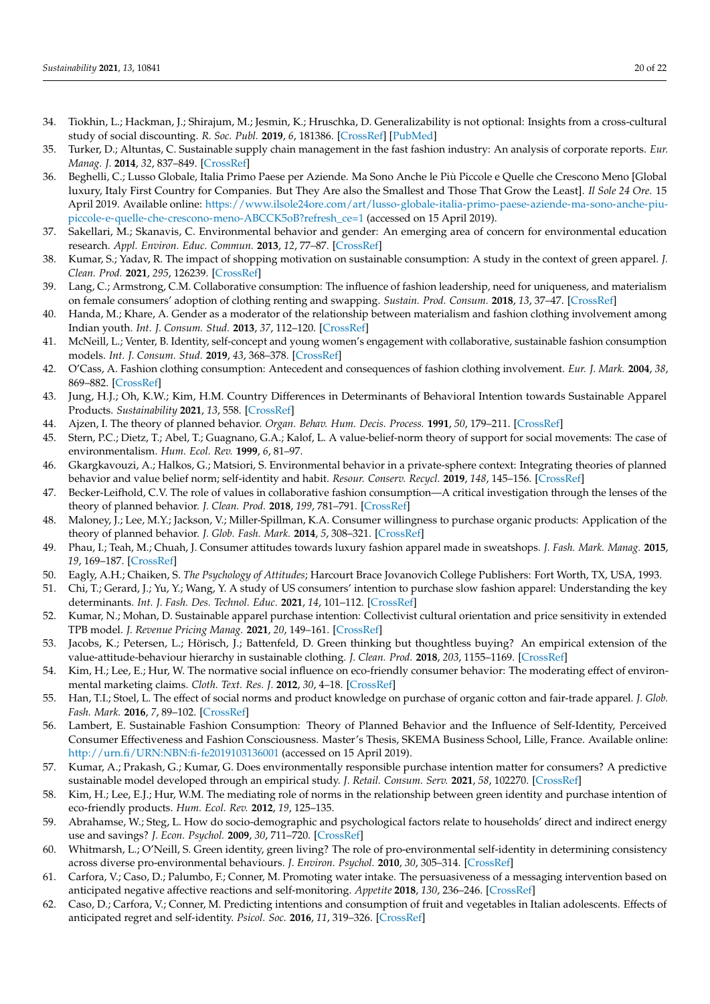- <span id="page-19-0"></span>34. Tiokhin, L.; Hackman, J.; Shirajum, M.; Jesmin, K.; Hruschka, D. Generalizability is not optional: Insights from a cross-cultural study of social discounting. *R. Soc. Publ.* **2019**, *6*, 181386. [\[CrossRef\]](http://doi.org/10.1098/rsos.181386) [\[PubMed\]](http://www.ncbi.nlm.nih.gov/pubmed/30891268)
- <span id="page-19-1"></span>35. Turker, D.; Altuntas, C. Sustainable supply chain management in the fast fashion industry: An analysis of corporate reports. *Eur. Manag. J.* **2014**, *32*, 837–849. [\[CrossRef\]](http://doi.org/10.1016/j.emj.2014.02.001)
- <span id="page-19-2"></span>36. Beghelli, C.; Lusso Globale, Italia Primo Paese per Aziende. Ma Sono Anche le Più Piccole e Quelle che Crescono Meno [Global luxury, Italy First Country for Companies. But They Are also the Smallest and Those That Grow the Least]. *Il Sole 24 Ore*. 15 April 2019. Available online: [https://www.ilsole24ore.com/art/lusso-globale-italia-primo-paese-aziende-ma-sono-anche-piu](https://www.ilsole24ore.com/art/lusso-globale-italia-primo-paese-aziende-ma-sono-anche-piu-piccole-e-quelle-che-crescono-meno-ABCCK5oB?refresh_ce=1)[piccole-e-quelle-che-crescono-meno-ABCCK5oB?refresh\\_ce=1](https://www.ilsole24ore.com/art/lusso-globale-italia-primo-paese-aziende-ma-sono-anche-piu-piccole-e-quelle-che-crescono-meno-ABCCK5oB?refresh_ce=1) (accessed on 15 April 2019).
- <span id="page-19-3"></span>37. Sakellari, M.; Skanavis, C. Environmental behavior and gender: An emerging area of concern for environmental education research. *Appl. Environ. Educ. Commun.* **2013**, *12*, 77–87. [\[CrossRef\]](http://doi.org/10.1080/1533015X.2013.820633)
- <span id="page-19-4"></span>38. Kumar, S.; Yadav, R. The impact of shopping motivation on sustainable consumption: A study in the context of green apparel. *J. Clean. Prod.* **2021**, *295*, 126239. [\[CrossRef\]](http://doi.org/10.1016/j.jclepro.2021.126239)
- <span id="page-19-5"></span>39. Lang, C.; Armstrong, C.M. Collaborative consumption: The influence of fashion leadership, need for uniqueness, and materialism on female consumers' adoption of clothing renting and swapping. *Sustain. Prod. Consum.* **2018**, *13*, 37–47. [\[CrossRef\]](http://doi.org/10.1016/j.spc.2017.11.005)
- 40. Handa, M.; Khare, A. Gender as a moderator of the relationship between materialism and fashion clothing involvement among Indian youth. *Int. J. Consum. Stud.* **2013**, *37*, 112–120. [\[CrossRef\]](http://doi.org/10.1111/j.1470-6431.2011.01057.x)
- <span id="page-19-25"></span>41. McNeill, L.; Venter, B. Identity, self-concept and young women's engagement with collaborative, sustainable fashion consumption models. *Int. J. Consum. Stud.* **2019**, *43*, 368–378. [\[CrossRef\]](http://doi.org/10.1111/ijcs.12516)
- 42. O'Cass, A. Fashion clothing consumption: Antecedent and consequences of fashion clothing involvement. *Eur. J. Mark.* **2004**, *38*, 869–882. [\[CrossRef\]](http://doi.org/10.1108/03090560410539294)
- <span id="page-19-6"></span>43. Jung, H.J.; Oh, K.W.; Kim, H.M. Country Differences in Determinants of Behavioral Intention towards Sustainable Apparel Products. *Sustainability* **2021**, *13*, 558. [\[CrossRef\]](http://doi.org/10.3390/su13020558)
- <span id="page-19-7"></span>44. Ajzen, I. The theory of planned behavior. *Organ. Behav. Hum. Decis. Process.* **1991**, *50*, 179–211. [\[CrossRef\]](http://doi.org/10.1016/0749-5978(91)90020-T)
- <span id="page-19-8"></span>45. Stern, P.C.; Dietz, T.; Abel, T.; Guagnano, G.A.; Kalof, L. A value-belief-norm theory of support for social movements: The case of environmentalism. *Hum. Ecol. Rev.* **1999**, *6*, 81–97.
- <span id="page-19-9"></span>46. Gkargkavouzi, A.; Halkos, G.; Matsiori, S. Environmental behavior in a private-sphere context: Integrating theories of planned behavior and value belief norm; self-identity and habit. *Resour. Conserv. Recycl.* **2019**, *148*, 145–156. [\[CrossRef\]](http://doi.org/10.1016/j.resconrec.2019.01.039)
- <span id="page-19-10"></span>47. Becker-Leifhold, C.V. The role of values in collaborative fashion consumption—A critical investigation through the lenses of the theory of planned behavior. *J. Clean. Prod.* **2018**, *199*, 781–791. [\[CrossRef\]](http://doi.org/10.1016/j.jclepro.2018.06.296)
- <span id="page-19-15"></span>48. Maloney, J.; Lee, M.Y.; Jackson, V.; Miller-Spillman, K.A. Consumer willingness to purchase organic products: Application of the theory of planned behavior. *J. Glob. Fash. Mark.* **2014**, *5*, 308–321. [\[CrossRef\]](http://doi.org/10.1080/20932685.2014.925327)
- <span id="page-19-11"></span>49. Phau, I.; Teah, M.; Chuah, J. Consumer attitudes towards luxury fashion apparel made in sweatshops. *J. Fash. Mark. Manag.* **2015**, *19*, 169–187. [\[CrossRef\]](http://doi.org/10.1108/JFMM-01-2014-0008)
- <span id="page-19-12"></span>50. Eagly, A.H.; Chaiken, S. *The Psychology of Attitudes*; Harcourt Brace Jovanovich College Publishers: Fort Worth, TX, USA, 1993.
- <span id="page-19-13"></span>51. Chi, T.; Gerard, J.; Yu, Y.; Wang, Y. A study of US consumers' intention to purchase slow fashion apparel: Understanding the key determinants. *Int. J. Fash. Des. Technol. Educ.* **2021**, *14*, 101–112. [\[CrossRef\]](http://doi.org/10.1080/17543266.2021.1872714)
- <span id="page-19-20"></span>52. Kumar, N.; Mohan, D. Sustainable apparel purchase intention: Collectivist cultural orientation and price sensitivity in extended TPB model. *J. Revenue Pricing Manag.* **2021**, *20*, 149–161. [\[CrossRef\]](http://doi.org/10.1057/s41272-021-00297-z)
- <span id="page-19-14"></span>53. Jacobs, K.; Petersen, L.; Hörisch, J.; Battenfeld, D. Green thinking but thoughtless buying? An empirical extension of the value-attitude-behaviour hierarchy in sustainable clothing. *J. Clean. Prod.* **2018**, *203*, 1155–1169. [\[CrossRef\]](http://doi.org/10.1016/j.jclepro.2018.07.320)
- <span id="page-19-16"></span>54. Kim, H.; Lee, E.; Hur, W. The normative social influence on eco-friendly consumer behavior: The moderating effect of environmental marketing claims. *Cloth. Text. Res. J.* **2012**, *30*, 4–18. [\[CrossRef\]](http://doi.org/10.1177/0887302X12440875)
- <span id="page-19-18"></span>55. Han, T.I.; Stoel, L. The effect of social norms and product knowledge on purchase of organic cotton and fair-trade apparel. *J. Glob. Fash. Mark.* **2016**, *7*, 89–102. [\[CrossRef\]](http://doi.org/10.1080/20932685.2015.1131434)
- <span id="page-19-17"></span>56. Lambert, E. Sustainable Fashion Consumption: Theory of Planned Behavior and the Influence of Self-Identity, Perceived Consumer Effectiveness and Fashion Consciousness. Master's Thesis, SKEMA Business School, Lille, France. Available online: <http://urn.fi/URN:NBN:fi-fe2019103136001> (accessed on 15 April 2019).
- <span id="page-19-19"></span>57. Kumar, A.; Prakash, G.; Kumar, G. Does environmentally responsible purchase intention matter for consumers? A predictive sustainable model developed through an empirical study. *J. Retail. Consum. Serv.* **2021**, *58*, 102270. [\[CrossRef\]](http://doi.org/10.1016/j.jretconser.2020.102270)
- <span id="page-19-21"></span>58. Kim, H.; Lee, E.J.; Hur, W.M. The mediating role of norms in the relationship between green identity and purchase intention of eco-friendly products. *Hum. Ecol. Rev.* **2012**, *19*, 125–135.
- <span id="page-19-22"></span>59. Abrahamse, W.; Steg, L. How do socio-demographic and psychological factors relate to households' direct and indirect energy use and savings? *J. Econ. Psychol.* **2009**, *30*, 711–720. [\[CrossRef\]](http://doi.org/10.1016/j.joep.2009.05.006)
- 60. Whitmarsh, L.; O'Neill, S. Green identity, green living? The role of pro-environmental self-identity in determining consistency across diverse pro-environmental behaviours. *J. Environ. Psychol.* **2010**, *30*, 305–314. [\[CrossRef\]](http://doi.org/10.1016/j.jenvp.2010.01.003)
- <span id="page-19-24"></span>61. Carfora, V.; Caso, D.; Palumbo, F.; Conner, M. Promoting water intake. The persuasiveness of a messaging intervention based on anticipated negative affective reactions and self-monitoring. *Appetite* **2018**, *130*, 236–246. [\[CrossRef\]](http://doi.org/10.1016/j.appet.2018.08.017)
- <span id="page-19-23"></span>62. Caso, D.; Carfora, V.; Conner, M. Predicting intentions and consumption of fruit and vegetables in Italian adolescents. Effects of anticipated regret and self-identity. *Psicol. Soc.* **2016**, *11*, 319–326. [\[CrossRef\]](http://doi.org/10.1482/84668)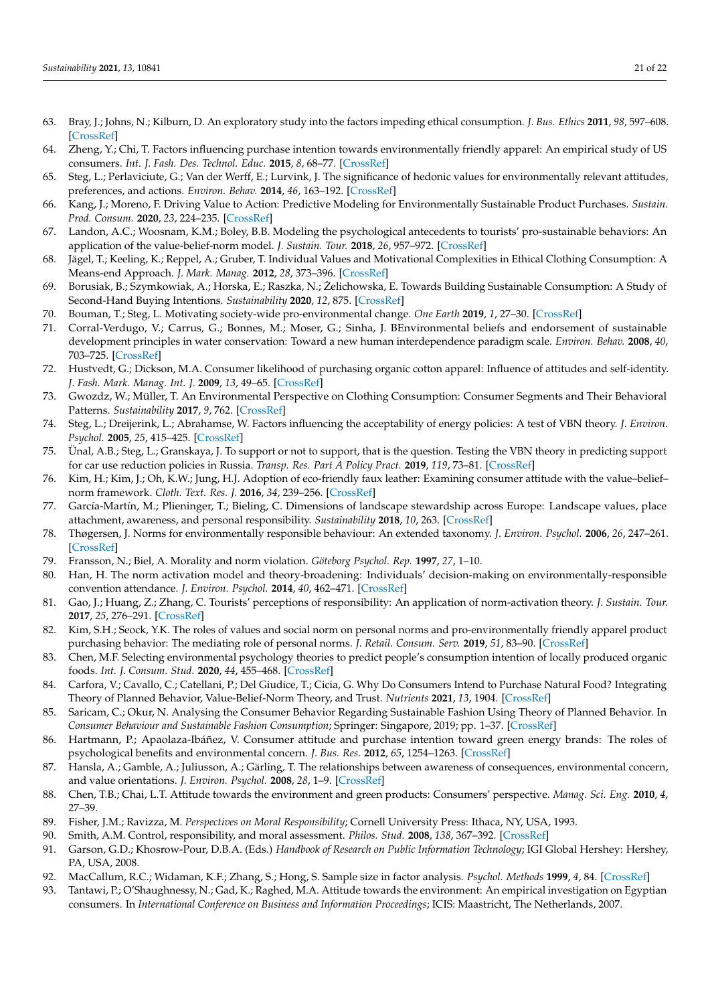- 63. Bray, J.; Johns, N.; Kilburn, D. An exploratory study into the factors impeding ethical consumption. *J. Bus. Ethics* **2011**, *98*, 597–608. [\[CrossRef\]](http://doi.org/10.1007/s10551-010-0640-9)
- <span id="page-20-0"></span>64. Zheng, Y.; Chi, T. Factors influencing purchase intention towards environmentally friendly apparel: An empirical study of US consumers. *Int. J. Fash. Des. Technol. Educ.* **2015**, *8*, 68–77. [\[CrossRef\]](http://doi.org/10.1080/17543266.2014.990059)
- <span id="page-20-1"></span>65. Steg, L.; Perlaviciute, G.; Van der Werff, E.; Lurvink, J. The significance of hedonic values for environmentally relevant attitudes, preferences, and actions. *Environ. Behav.* **2014**, *46*, 163–192. [\[CrossRef\]](http://doi.org/10.1177/0013916512454730)
- <span id="page-20-2"></span>66. Kang, J.; Moreno, F. Driving Value to Action: Predictive Modeling for Environmentally Sustainable Product Purchases. *Sustain. Prod. Consum.* **2020**, *23*, 224–235. [\[CrossRef\]](http://doi.org/10.1016/j.spc.2020.06.002)
- <span id="page-20-3"></span>67. Landon, A.C.; Woosnam, K.M.; Boley, B.B. Modeling the psychological antecedents to tourists' pro-sustainable behaviors: An application of the value-belief-norm model. *J. Sustain. Tour.* **2018**, *26*, 957–972. [\[CrossRef\]](http://doi.org/10.1080/09669582.2017.1423320)
- <span id="page-20-4"></span>68. Jägel, T.; Keeling, K.; Reppel, A.; Gruber, T. Individual Values and Motivational Complexities in Ethical Clothing Consumption: A Means-end Approach. *J. Mark. Manag.* **2012**, *28*, 373–396. [\[CrossRef\]](http://doi.org/10.1080/0267257X.2012.659280)
- <span id="page-20-5"></span>69. Borusiak, B.; Szymkowiak, A.; Horska, E.; Raszka, N.; Zelichowska, E. Towards Building Sustainable Consumption: A Study of ˙ Second-Hand Buying Intentions. *Sustainability* **2020**, *12*, 875. [\[CrossRef\]](http://doi.org/10.3390/su12030875)
- <span id="page-20-6"></span>70. Bouman, T.; Steg, L. Motivating society-wide pro-environmental change. *One Earth* **2019**, *1*, 27–30. [\[CrossRef\]](http://doi.org/10.1016/j.oneear.2019.08.002)
- <span id="page-20-7"></span>71. Corral-Verdugo, V.; Carrus, G.; Bonnes, M.; Moser, G.; Sinha, J. BEnvironmental beliefs and endorsement of sustainable development principles in water conservation: Toward a new human interdependence paradigm scale. *Environ. Behav.* **2008**, *40*, 703–725. [\[CrossRef\]](http://doi.org/10.1177/0013916507308786)
- <span id="page-20-8"></span>72. Hustvedt, G.; Dickson, M.A. Consumer likelihood of purchasing organic cotton apparel: Influence of attitudes and self-identity. *J. Fash. Mark. Manag. Int. J.* **2009**, *13*, 49–65. [\[CrossRef\]](http://doi.org/10.1108/13612020910939879)
- <span id="page-20-9"></span>73. Gwozdz, W.; Müller, T. An Environmental Perspective on Clothing Consumption: Consumer Segments and Their Behavioral Patterns. *Sustainability* **2017**, *9*, 762. [\[CrossRef\]](http://doi.org/10.3390/su9050762)
- <span id="page-20-12"></span>74. Steg, L.; Dreijerink, L.; Abrahamse, W. Factors influencing the acceptability of energy policies: A test of VBN theory. *J. Environ. Psychol.* **2005**, *25*, 415–425. [\[CrossRef\]](http://doi.org/10.1016/j.jenvp.2005.08.003)
- 75. Ünal, A.B.; Steg, L.; Granskaya, J. To support or not to support, that is the question. Testing the VBN theory in predicting support for car use reduction policies in Russia. *Transp. Res. Part A Policy Pract.* **2019**, *119*, 73–81. [\[CrossRef\]](http://doi.org/10.1016/j.tra.2018.10.042)
- 76. Kim, H.; Kim, J.; Oh, K.W.; Jung, H.J. Adoption of eco-friendly faux leather: Examining consumer attitude with the value–belief– norm framework. *Cloth. Text. Res. J.* **2016**, *34*, 239–256. [\[CrossRef\]](http://doi.org/10.1177/0887302X16656439)
- <span id="page-20-10"></span>77. García-Martín, M.; Plieninger, T.; Bieling, C. Dimensions of landscape stewardship across Europe: Landscape values, place attachment, awareness, and personal responsibility. *Sustainability* **2018**, *10*, 263. [\[CrossRef\]](http://doi.org/10.3390/su10010263)
- <span id="page-20-11"></span>78. Thøgersen, J. Norms for environmentally responsible behaviour: An extended taxonomy. *J. Environ. Psychol.* **2006**, *26*, 247–261. [\[CrossRef\]](http://doi.org/10.1016/j.jenvp.2006.09.004)
- <span id="page-20-13"></span>79. Fransson, N.; Biel, A. Morality and norm violation. *Göteborg Psychol. Rep.* **1997**, *27*, 1–10.
- <span id="page-20-14"></span>80. Han, H. The norm activation model and theory-broadening: Individuals' decision-making on environmentally-responsible convention attendance. *J. Environ. Psychol.* **2014**, *40*, 462–471. [\[CrossRef\]](http://doi.org/10.1016/j.jenvp.2014.10.006)
- <span id="page-20-15"></span>81. Gao, J.; Huang, Z.; Zhang, C. Tourists' perceptions of responsibility: An application of norm-activation theory. *J. Sustain. Tour.* **2017**, *25*, 276–291. [\[CrossRef\]](http://doi.org/10.1080/09669582.2016.1202954)
- <span id="page-20-16"></span>82. Kim, S.H.; Seock, Y.K. The roles of values and social norm on personal norms and pro-environmentally friendly apparel product purchasing behavior: The mediating role of personal norms. *J. Retail. Consum. Serv.* **2019**, *51*, 83–90. [\[CrossRef\]](http://doi.org/10.1016/j.jretconser.2019.05.023)
- <span id="page-20-17"></span>83. Chen, M.F. Selecting environmental psychology theories to predict people's consumption intention of locally produced organic foods. *Int. J. Consum. Stud.* **2020**, *44*, 455–468. [\[CrossRef\]](http://doi.org/10.1111/ijcs.12578)
- <span id="page-20-18"></span>84. Carfora, V.; Cavallo, C.; Catellani, P.; Del Giudice, T.; Cicia, G. Why Do Consumers Intend to Purchase Natural Food? Integrating Theory of Planned Behavior, Value-Belief-Norm Theory, and Trust. *Nutrients* **2021**, *13*, 1904. [\[CrossRef\]](http://doi.org/10.3390/nu13061904)
- <span id="page-20-19"></span>85. Saricam, C.; Okur, N. Analysing the Consumer Behavior Regarding Sustainable Fashion Using Theory of Planned Behavior. In *Consumer Behaviour and Sustainable Fashion Consumption*; Springer: Singapore, 2019; pp. 1–37. [\[CrossRef\]](http://doi.org/10.1007/978-981-13-1265-6_1)
- <span id="page-20-20"></span>86. Hartmann, P.; Apaolaza-Ibáñez, V. Consumer attitude and purchase intention toward green energy brands: The roles of psychological benefits and environmental concern. *J. Bus. Res.* **2012**, *65*, 1254–1263. [\[CrossRef\]](http://doi.org/10.1016/j.jbusres.2011.11.001)
- <span id="page-20-21"></span>87. Hansla, A.; Gamble, A.; Juliusson, A.; Gärling, T. The relationships between awareness of consequences, environmental concern, and value orientations. *J. Environ. Psychol.* **2008**, *28*, 1–9. [\[CrossRef\]](http://doi.org/10.1016/j.jenvp.2007.08.004)
- <span id="page-20-22"></span>88. Chen, T.B.; Chai, L.T. Attitude towards the environment and green products: Consumers' perspective. *Manag. Sci. Eng.* **2010**, *4*, 27–39.
- <span id="page-20-23"></span>89. Fisher, J.M.; Ravizza, M. *Perspectives on Moral Responsibility*; Cornell University Press: Ithaca, NY, USA, 1993.
- <span id="page-20-24"></span>90. Smith, A.M. Control, responsibility, and moral assessment. *Philos. Stud.* **2008**, *138*, 367–392. [\[CrossRef\]](http://doi.org/10.1007/s11098-006-9048-x)
- <span id="page-20-25"></span>91. Garson, G.D.; Khosrow-Pour, D.B.A. (Eds.) *Handbook of Research on Public Information Technology*; IGI Global Hershey: Hershey, PA, USA, 2008.
- <span id="page-20-26"></span>92. MacCallum, R.C.; Widaman, K.F.; Zhang, S.; Hong, S. Sample size in factor analysis. *Psychol. Methods* **1999**, *4*, 84. [\[CrossRef\]](http://doi.org/10.1037/1082-989X.4.1.84)
- <span id="page-20-27"></span>93. Tantawi, P.; O'Shaughnessy, N.; Gad, K.; Raghed, M.A. Attitude towards the environment: An empirical investigation on Egyptian consumers. In *International Conference on Business and Information Proceedings*; ICIS: Maastricht, The Netherlands, 2007.